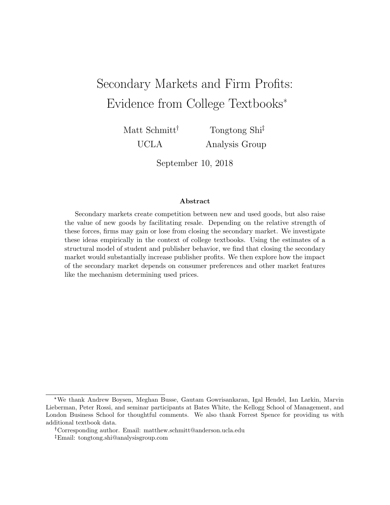# Secondary Markets and Firm Profits: Evidence from College Textbooks\*

Matt Schmitt<sup>†</sup> UCLA

Tongtong Shi Analysis Group

September 10, 2018

#### Abstract

Secondary markets create competition between new and used goods, but also raise the value of new goods by facilitating resale. Depending on the relative strength of these forces, firms may gain or lose from closing the secondary market. We investigate these ideas empirically in the context of college textbooks. Using the estimates of a structural model of student and publisher behavior, we find that closing the secondary market would substantially increase publisher profits. We then explore how the impact of the secondary market depends on consumer preferences and other market features like the mechanism determining used prices.

<sup>\*</sup>We thank Andrew Boysen, Meghan Busse, Gautam Gowrisankaran, Igal Hendel, Ian Larkin, Marvin Lieberman, Peter Rossi, and seminar participants at Bates White, the Kellogg School of Management, and London Business School for thoughtful comments. We also thank Forrest Spence for providing us with additional textbook data.

Corresponding author. Email: matthew.schmitt@anderson.ucla.edu

Email: tongtong.shi@analysisgroup.com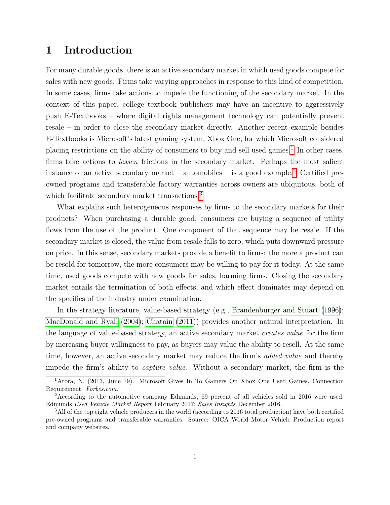# 1 Introduction

For many durable goods, there is an active secondary market in which used goods compete for sales with new goods. Firms take varying approaches in response to this kind of competition. In some cases, firms take actions to impede the functioning of the secondary market. In the context of this paper, college textbook publishers may have an incentive to aggressively push E-Textbooks – where digital rights management technology can potentially prevent resale – in order to close the secondary market directly. Another recent example besides E-Textbooks is Microsoft's latest gaming system, Xbox One, for which Microsoft considered placing restrictions on the ability of consumers to buy and sell used games.<sup>[1](#page-1-0)</sup> In other cases, firms take actions to lessen frictions in the secondary market. Perhaps the most salient instance of an active secondary market – automobiles – is a good example.<sup>[2](#page-1-1)</sup> Certified preowned programs and transferable factory warranties across owners are ubiquitous, both of which facilitate secondary market transactions.<sup>[3](#page-1-2)</sup>

What explains such heterogeneous responses by firms to the secondary markets for their products? When purchasing a durable good, consumers are buying a sequence of utility flows from the use of the product. One component of that sequence may be resale. If the secondary market is closed, the value from resale falls to zero, which puts downward pressure on price. In this sense, secondary markets provide a benefit to firms: the more a product can be resold for tomorrow, the more consumers may be willing to pay for it today. At the same time, used goods compete with new goods for sales, harming firms. Closing the secondary market entails the termination of both effects, and which effect dominates may depend on the specifics of the industry under examination.

In the strategy literature, value-based strategy (e.g., [Brandenburger and Stuart](#page-30-0) [\(1996\)](#page-30-0); [MacDonald and Ryall](#page-31-0) [\(2004\)](#page-31-0); [Chatain](#page-30-1) [\(2011\)](#page-30-1)) provides another natural interpretation. In the language of value-based strategy, an active secondary market creates value for the firm by increasing buyer willingness to pay, as buyers may value the ability to resell. At the same time, however, an active secondary market may reduce the firm's *added value* and thereby impede the firm's ability to capture value. Without a secondary market, the firm is the

<span id="page-1-0"></span><sup>1</sup>Arora, N. (2013, June 19). Microsoft Gives In To Gamers On Xbox One Used Games, Connection Requirement. Forbes.com.

<span id="page-1-1"></span><sup>2</sup>According to the automotive company Edmunds, 69 percent of all vehicles sold in 2016 were used. Edmunds Used Vehicle Market Report February 2017; Sales Insights December 2016.

<span id="page-1-2"></span><sup>&</sup>lt;sup>3</sup>All of the top eight vehicle producers in the world (according to 2016 total production) have both certified pre-owned programs and transferable warranties. Source: OICA World Motor Vehicle Production report and company websites.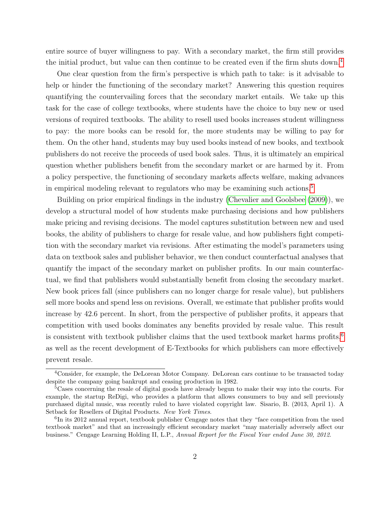entire source of buyer willingness to pay. With a secondary market, the firm still provides the initial product, but value can then continue to be created even if the firm shuts down.<sup>[4](#page-2-0)</sup>

One clear question from the firm's perspective is which path to take: is it advisable to help or hinder the functioning of the secondary market? Answering this question requires quantifying the countervailing forces that the secondary market entails. We take up this task for the case of college textbooks, where students have the choice to buy new or used versions of required textbooks. The ability to resell used books increases student willingness to pay: the more books can be resold for, the more students may be willing to pay for them. On the other hand, students may buy used books instead of new books, and textbook publishers do not receive the proceeds of used book sales. Thus, it is ultimately an empirical question whether publishers benefit from the secondary market or are harmed by it. From a policy perspective, the functioning of secondary markets affects welfare, making advances in empirical modeling relevant to regulators who may be examining such actions.<sup>[5](#page-2-1)</sup>

Building on prior empirical findings in the industry [\(Chevalier and Goolsbee](#page-31-1) [\(2009\)](#page-31-1)), we develop a structural model of how students make purchasing decisions and how publishers make pricing and revising decisions. The model captures substitution between new and used books, the ability of publishers to charge for resale value, and how publishers fight competition with the secondary market via revisions. After estimating the model's parameters using data on textbook sales and publisher behavior, we then conduct counterfactual analyses that quantify the impact of the secondary market on publisher profits. In our main counterfactual, we find that publishers would substantially benefit from closing the secondary market. New book prices fall (since publishers can no longer charge for resale value), but publishers sell more books and spend less on revisions. Overall, we estimate that publisher profits would increase by 42.6 percent. In short, from the perspective of publisher profits, it appears that competition with used books dominates any benefits provided by resale value. This result is consistent with textbook publisher claims that the used textbook market harms profits,  $6\overline{6}$  $6\overline{6}$ as well as the recent development of E-Textbooks for which publishers can more effectively prevent resale.

<span id="page-2-0"></span><sup>&</sup>lt;sup>4</sup>Consider, for example, the DeLorean Motor Company. DeLorean cars continue to be transacted today despite the company going bankrupt and ceasing production in 1982.

<span id="page-2-1"></span><sup>&</sup>lt;sup>5</sup>Cases concerning the resale of digital goods have already begun to make their way into the courts. For example, the startup ReDigi, who provides a platform that allows consumers to buy and sell previously purchased digital music, was recently ruled to have violated copyright law. Sisario, B. (2013, April 1). A Setback for Resellers of Digital Products. New York Times.

<span id="page-2-2"></span><sup>&</sup>lt;sup>6</sup>In its 2012 annual report, textbook publisher Cengage notes that they "face competition from the used textbook market" and that an increasingly efficient secondary market "may materially adversely affect our business." Cengage Learning Holding II, L.P., Annual Report for the Fiscal Year ended June 30, 2012.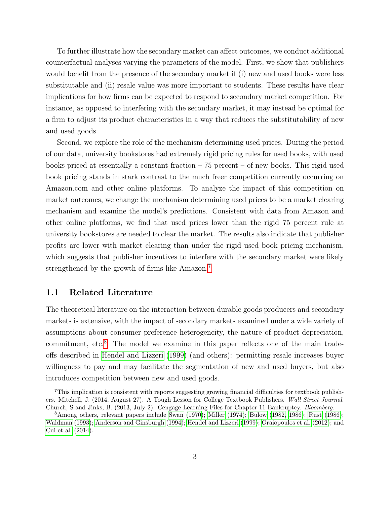To further illustrate how the secondary market can affect outcomes, we conduct additional counterfactual analyses varying the parameters of the model. First, we show that publishers would benefit from the presence of the secondary market if (i) new and used books were less substitutable and (ii) resale value was more important to students. These results have clear implications for how firms can be expected to respond to secondary market competition. For instance, as opposed to interfering with the secondary market, it may instead be optimal for a firm to adjust its product characteristics in a way that reduces the substitutability of new and used goods.

Second, we explore the role of the mechanism determining used prices. During the period of our data, university bookstores had extremely rigid pricing rules for used books, with used books priced at essentially a constant fraction  $-75$  percent  $-$  of new books. This rigid used book pricing stands in stark contrast to the much freer competition currently occurring on Amazon.com and other online platforms. To analyze the impact of this competition on market outcomes, we change the mechanism determining used prices to be a market clearing mechanism and examine the model's predictions. Consistent with data from Amazon and other online platforms, we find that used prices lower than the rigid 75 percent rule at university bookstores are needed to clear the market. The results also indicate that publisher profits are lower with market clearing than under the rigid used book pricing mechanism, which suggests that publisher incentives to interfere with the secondary market were likely strengthened by the growth of firms like Amazon.[7](#page-3-0)

### 1.1 Related Literature

The theoretical literature on the interaction between durable goods producers and secondary markets is extensive, with the impact of secondary markets examined under a wide variety of assumptions about consumer preference heterogeneity, the nature of product depreciation, commitment, etc.<sup>[8](#page-3-1)</sup> The model we examine in this paper reflects one of the main tradeoffs described in [Hendel and Lizzeri](#page-31-2) [\(1999\)](#page-31-2) (and others): permitting resale increases buyer willingness to pay and may facilitate the segmentation of new and used buyers, but also introduces competition between new and used goods.

<span id="page-3-0"></span><sup>7</sup>This implication is consistent with reports suggesting growing financial difficulties for textbook publishers. Mitchell, J. (2014, August 27). A Tough Lesson for College Textbook Publishers. Wall Street Journal. Church, S and Jinks, B. (2013, July 2). Cengage Learning Files for Chapter 11 Bankruptcy. Bloomberg.

<span id="page-3-1"></span><sup>8</sup>Among others, relevant papers include [Swan](#page-32-0) [\(1970\)](#page-32-0); [Miller](#page-31-3) [\(1974\)](#page-31-3); [Bulow](#page-30-2) [\(1982,](#page-30-2) [1986\)](#page-30-3); [Rust](#page-31-4) [\(1986\)](#page-31-4); [Waldman](#page-32-1) [\(1993\)](#page-32-1); [Anderson and Ginsburgh](#page-30-4) [\(1994\)](#page-30-4); [Hendel and Lizzeri](#page-31-2) [\(1999\)](#page-31-2); [Oraiopoulos et al.](#page-31-5) [\(2012\)](#page-31-5); and [Cui et al.](#page-31-6) [\(2014\)](#page-31-6).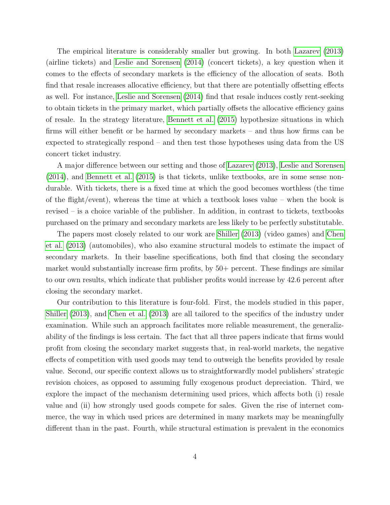The empirical literature is considerably smaller but growing. In both [Lazarev](#page-31-7) [\(2013\)](#page-31-7) (airline tickets) and [Leslie and Sorensen](#page-31-8) [\(2014\)](#page-31-8) (concert tickets), a key question when it comes to the effects of secondary markets is the efficiency of the allocation of seats. Both find that resale increases allocative efficiency, but that there are potentially offsetting effects as well. For instance, [Leslie and Sorensen](#page-31-8) [\(2014\)](#page-31-8) find that resale induces costly rent-seeking to obtain tickets in the primary market, which partially offsets the allocative efficiency gains of resale. In the strategy literature, [Bennett et al.](#page-30-5) [\(2015\)](#page-30-5) hypothesize situations in which firms will either benefit or be harmed by secondary markets – and thus how firms can be expected to strategically respond – and then test those hypotheses using data from the US concert ticket industry.

A major difference between our setting and those of [Lazarev](#page-31-7) [\(2013\)](#page-31-7), [Leslie and Sorensen](#page-31-8) [\(2014\)](#page-31-8), and [Bennett et al.](#page-30-5) [\(2015\)](#page-30-5) is that tickets, unlike textbooks, are in some sense nondurable. With tickets, there is a fixed time at which the good becomes worthless (the time of the flight/event), whereas the time at which a textbook loses value – when the book is revised – is a choice variable of the publisher. In addition, in contrast to tickets, textbooks purchased on the primary and secondary markets are less likely to be perfectly substitutable.

The papers most closely related to our work are [Shiller](#page-32-2) [\(2013\)](#page-32-2) (video games) and [Chen](#page-30-6) [et al.](#page-30-6) [\(2013\)](#page-30-6) (automobiles), who also examine structural models to estimate the impact of secondary markets. In their baseline specifications, both find that closing the secondary market would substantially increase firm profits, by 50+ percent. These findings are similar to our own results, which indicate that publisher profits would increase by 42.6 percent after closing the secondary market.

Our contribution to this literature is four-fold. First, the models studied in this paper, [Shiller](#page-32-2) [\(2013\)](#page-32-2), and [Chen et al.](#page-30-6) [\(2013\)](#page-30-6) are all tailored to the specifics of the industry under examination. While such an approach facilitates more reliable measurement, the generalizability of the findings is less certain. The fact that all three papers indicate that firms would profit from closing the secondary market suggests that, in real-world markets, the negative effects of competition with used goods may tend to outweigh the benefits provided by resale value. Second, our specific context allows us to straightforwardly model publishers' strategic revision choices, as opposed to assuming fully exogenous product depreciation. Third, we explore the impact of the mechanism determining used prices, which affects both (i) resale value and (ii) how strongly used goods compete for sales. Given the rise of internet commerce, the way in which used prices are determined in many markets may be meaningfully different than in the past. Fourth, while structural estimation is prevalent in the economics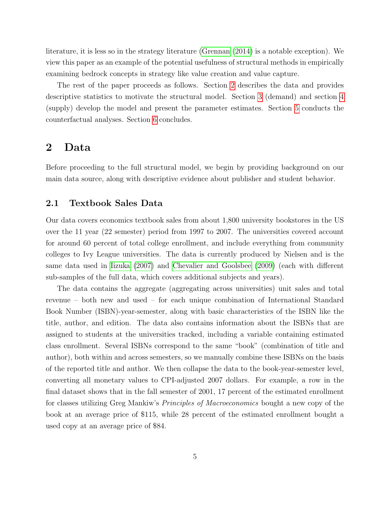literature, it is less so in the strategy literature [\(Grennan](#page-31-9) [\(2014\)](#page-31-9) is a notable exception). We view this paper as an example of the potential usefulness of structural methods in empirically examining bedrock concepts in strategy like value creation and value capture.

The rest of the paper proceeds as follows. Section [2](#page-5-0) describes the data and provides descriptive statistics to motivate the structural model. Section [3](#page-10-0) (demand) and section [4](#page-18-0) (supply) develop the model and present the parameter estimates. Section [5](#page-20-0) conducts the counterfactual analyses. Section [6](#page-29-0) concludes.

### <span id="page-5-0"></span>2 Data

Before proceeding to the full structural model, we begin by providing background on our main data source, along with descriptive evidence about publisher and student behavior.

#### 2.1 Textbook Sales Data

Our data covers economics textbook sales from about 1,800 university bookstores in the US over the 11 year (22 semester) period from 1997 to 2007. The universities covered account for around 60 percent of total college enrollment, and include everything from community colleges to Ivy League universities. The data is currently produced by Nielsen and is the same data used in [Iizuka](#page-31-10) [\(2007\)](#page-31-10) and [Chevalier and Goolsbee](#page-31-1) [\(2009\)](#page-31-1) (each with different sub-samples of the full data, which covers additional subjects and years).

The data contains the aggregate (aggregating across universities) unit sales and total revenue – both new and used – for each unique combination of International Standard Book Number (ISBN)-year-semester, along with basic characteristics of the ISBN like the title, author, and edition. The data also contains information about the ISBNs that are assigned to students at the universities tracked, including a variable containing estimated class enrollment. Several ISBNs correspond to the same "book" (combination of title and author), both within and across semesters, so we manually combine these ISBNs on the basis of the reported title and author. We then collapse the data to the book-year-semester level, converting all monetary values to CPI-adjusted 2007 dollars. For example, a row in the final dataset shows that in the fall semester of 2001, 17 percent of the estimated enrollment for classes utilizing Greg Mankiw's Principles of Macroeconomics bought a new copy of the book at an average price of \$115, while 28 percent of the estimated enrollment bought a used copy at an average price of \$84.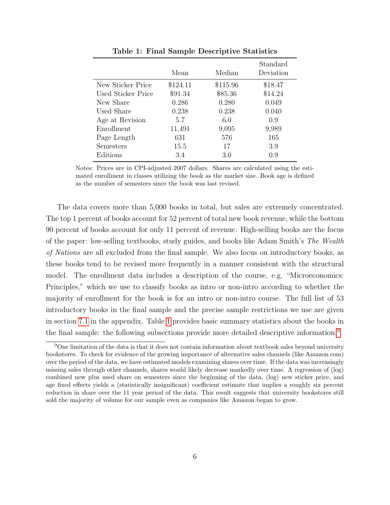<span id="page-6-0"></span>

|                    | Mean     | Median   | Standard<br>Deviation |
|--------------------|----------|----------|-----------------------|
| New Sticker Price  | \$124.11 | \$115.96 | \$18.47               |
| Used Sticker Price | \$91.34  | \$85.36  | \$14.24               |
| New Share          | 0.286    | 0.280    | 0.049                 |
| Used Share         | 0.238    | 0.238    | 0.040                 |
| Age at Revision    | 5.7      | 6.0      | 0.9                   |
| Enrollment         | 11,491   | 9,095    | 9,989                 |
| Page Length        | 631      | 576      | 165                   |
| Semesters          | 15.5     | 17       | 3.9                   |
| Editions           | 3.4      | 3.0      | 0.9                   |

Table 1: Final Sample Descriptive Statistics

Notes: Prices are in CPI-adjusted 2007 dollars. Shares are calculated using the estimated enrollment in classes utilizing the book as the market size. Book age is defined as the number of semesters since the book was last revised.

The data covers more than 5,000 books in total, but sales are extremely concentrated. The top 1 percent of books account for 52 percent of total new book revenue, while the bottom 90 percent of books account for only 11 percent of revenue. High-selling books are the focus of the paper: low-selling textbooks, study guides, and books like Adam Smith's The Wealth of Nations are all excluded from the final sample. We also focus on introductory books, as these books tend to be revised more frequently in a manner consistent with the structural model. The enrollment data includes a description of the course, e.g. "Microeconomics: Principles," which we use to classify books as intro or non-intro according to whether the majority of enrollment for the book is for an intro or non-intro course. The full list of 53 introductory books in the final sample and the precise sample restrictions we use are given in section [7.1](#page-33-0) in the appendix. Table [1](#page-6-0) provides basic summary statistics about the books in the final sample: the following subsections provide more detailed descriptive information.[9](#page-6-1)

<span id="page-6-1"></span><sup>9</sup>One limitation of the data is that it does not contain information about textbook sales beyond university bookstores. To check for evidence of the growing importance of alternative sales channels (like Amazon.com) over the period of the data, we have estimated models examining shares over time. If the data was increasingly missing sales through other channels, shares would likely decrease markedly over time. A regression of (log) combined new plus used share on semesters since the beginning of the data, (log) new sticker price, and age fixed effects yields a (statistically insignificant) coefficient estimate that implies a roughly six percent reduction in share over the 11 year period of the data. This result suggests that university bookstores still sold the majority of volume for our sample even as companies like Amazon began to grow.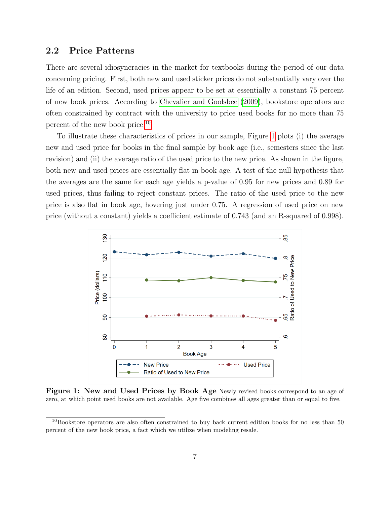### <span id="page-7-2"></span>2.2 Price Patterns

There are several idiosyncracies in the market for textbooks during the period of our data concerning pricing. First, both new and used sticker prices do not substantially vary over the life of an edition. Second, used prices appear to be set at essentially a constant 75 percent of new book prices. According to [Chevalier and Goolsbee](#page-31-1) [\(2009\)](#page-31-1), bookstore operators are often constrained by contract with the university to price used books for no more than 75 percent of the new book price.[10](#page-7-0)

To illustrate these characteristics of prices in our sample, Figure [1](#page-7-1) plots (i) the average new and used price for books in the final sample by book age (i.e., semesters since the last revision) and (ii) the average ratio of the used price to the new price. As shown in the figure, both new and used prices are essentially flat in book age. A test of the null hypothesis that the averages are the same for each age yields a p-value of 0.95 for new prices and 0.89 for used prices, thus failing to reject constant prices. The ratio of the used price to the new price is also flat in book age, hovering just under 0.75. A regression of used price on new price (without a constant) yields a coefficient estimate of 0.743 (and an R-squared of 0.998).

<span id="page-7-1"></span>

Figure 1: New and Used Prices by Book Age Newly revised books correspond to an age of zero, at which point used books are not available. Age five combines all ages greater than or equal to five.

<span id="page-7-0"></span> $10B$ ookstore operators are also often constrained to buy back current edition books for no less than 50 percent of the new book price, a fact which we utilize when modeling resale.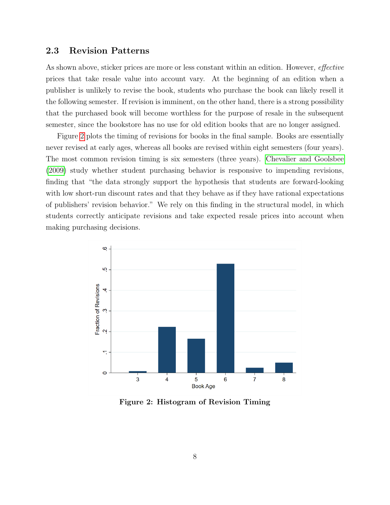### 2.3 Revision Patterns

As shown above, sticker prices are more or less constant within an edition. However, *effective* prices that take resale value into account vary. At the beginning of an edition when a publisher is unlikely to revise the book, students who purchase the book can likely resell it the following semester. If revision is imminent, on the other hand, there is a strong possibility that the purchased book will become worthless for the purpose of resale in the subsequent semester, since the bookstore has no use for old edition books that are no longer assigned.

Figure [2](#page-8-0) plots the timing of revisions for books in the final sample. Books are essentially never revised at early ages, whereas all books are revised within eight semesters (four years). The most common revision timing is six semesters (three years). [Chevalier and Goolsbee](#page-31-1) [\(2009\)](#page-31-1) study whether student purchasing behavior is responsive to impending revisions, finding that "the data strongly support the hypothesis that students are forward-looking with low short-run discount rates and that they behave as if they have rational expectations of publishers' revision behavior." We rely on this finding in the structural model, in which students correctly anticipate revisions and take expected resale prices into account when making purchasing decisions.

<span id="page-8-0"></span>

Figure 2: Histogram of Revision Timing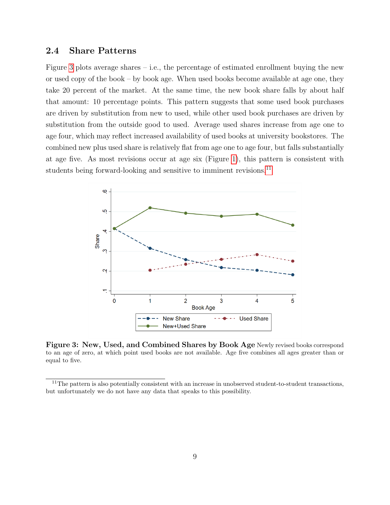### 2.4 Share Patterns

Figure [3](#page-9-0) plots average shares – i.e., the percentage of estimated enrollment buying the new or used copy of the book – by book age. When used books become available at age one, they take 20 percent of the market. At the same time, the new book share falls by about half that amount: 10 percentage points. This pattern suggests that some used book purchases are driven by substitution from new to used, while other used book purchases are driven by substitution from the outside good to used. Average used shares increase from age one to age four, which may reflect increased availability of used books at university bookstores. The combined new plus used share is relatively flat from age one to age four, but falls substantially at age five. As most revisions occur at age six (Figure [1\)](#page-7-1), this pattern is consistent with students being forward-looking and sensitive to imminent revisions.<sup>[11](#page-9-1)</sup>

<span id="page-9-0"></span>

Figure 3: New, Used, and Combined Shares by Book Age Newly revised books correspond to an age of zero, at which point used books are not available. Age five combines all ages greater than or equal to five.

<span id="page-9-1"></span> $11$ The pattern is also potentially consistent with an increase in unobserved student-to-student transactions, but unfortunately we do not have any data that speaks to this possibility.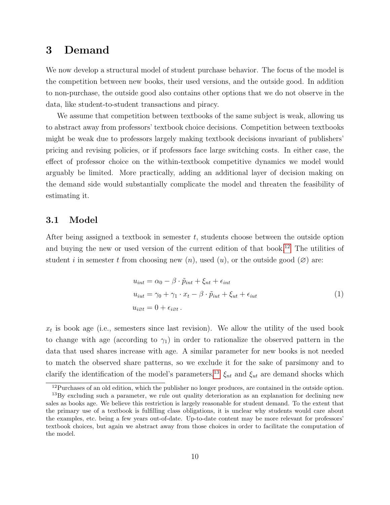# <span id="page-10-0"></span>3 Demand

We now develop a structural model of student purchase behavior. The focus of the model is the competition between new books, their used versions, and the outside good. In addition to non-purchase, the outside good also contains other options that we do not observe in the data, like student-to-student transactions and piracy.

We assume that competition between textbooks of the same subject is weak, allowing us to abstract away from professors' textbook choice decisions. Competition between textbooks might be weak due to professors largely making textbook decisions invariant of publishers' pricing and revising policies, or if professors face large switching costs. In either case, the effect of professor choice on the within-textbook competitive dynamics we model would arguably be limited. More practically, adding an additional layer of decision making on the demand side would substantially complicate the model and threaten the feasibility of estimating it.

#### 3.1 Model

After being assigned a textbook in semester  $t$ , students choose between the outside option and buying the new or used version of the current edition of that book.[12](#page-10-1) The utilities of student i in semester t from choosing new  $(n)$ , used  $(u)$ , or the outside good  $(\emptyset)$  are:

$$
u_{int} = \alpha_0 - \beta \cdot \tilde{p}_{int} + \xi_{nt} + \epsilon_{int}
$$
  
\n
$$
u_{iut} = \gamma_0 + \gamma_1 \cdot x_t - \beta \cdot \tilde{p}_{iut} + \xi_{ut} + \epsilon_{iut}
$$
  
\n
$$
u_{i\varnothing t} = 0 + \epsilon_{i\varnothing t}.
$$
\n(1)

 $x_t$  is book age (i.e., semesters since last revision). We allow the utility of the used book to change with age (according to  $\gamma_1$ ) in order to rationalize the observed pattern in the data that used shares increase with age. A similar parameter for new books is not needed to match the observed share patterns, so we exclude it for the sake of parsimony and to clarify the identification of the model's parameters.<sup>[13](#page-10-2)</sup>  $\xi_{nt}$  and  $\xi_{ut}$  are demand shocks which

<span id="page-10-2"></span><span id="page-10-1"></span><sup>&</sup>lt;sup>12</sup>Purchases of an old edition, which the publisher no longer produces, are contained in the outside option.

<sup>&</sup>lt;sup>13</sup>By excluding such a parameter, we rule out quality deterioration as an explanation for declining new sales as books age. We believe this restriction is largely reasonable for student demand. To the extent that the primary use of a textbook is fulfilling class obligations, it is unclear why students would care about the examples, etc. being a few years out-of-date. Up-to-date content may be more relevant for professors' textbook choices, but again we abstract away from those choices in order to facilitate the computation of the model.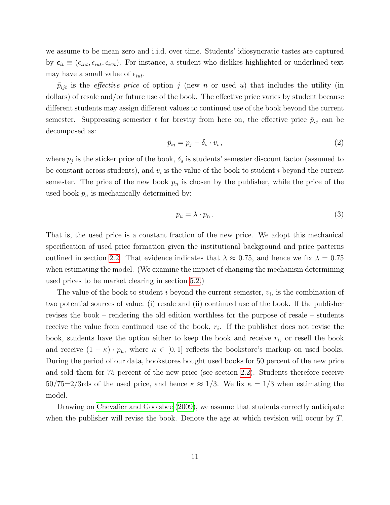we assume to be mean zero and i.i.d. over time. Students' idiosyncratic tastes are captured by  $\epsilon_{it} \equiv (\epsilon_{int}, \epsilon_{iut}, \epsilon_{i\varnothing t})$ . For instance, a student who dislikes highlighted or underlined text may have a small value of  $\epsilon_{iut}$ .

 $\tilde{p}_{ijt}$  is the *effective price* of option j (new n or used u) that includes the utility (in dollars) of resale and/or future use of the book. The effective price varies by student because different students may assign different values to continued use of the book beyond the current semester. Suppressing semester t for brevity from here on, the effective price  $\tilde{p}_{ij}$  can be decomposed as:

$$
\tilde{p}_{ij} = p_j - \delta_s \cdot v_i \,,\tag{2}
$$

where  $p_j$  is the sticker price of the book,  $\delta_s$  is students' semester discount factor (assumed to be constant across students), and  $v_i$  is the value of the book to student i beyond the current semester. The price of the new book  $p_n$  is chosen by the publisher, while the price of the used book  $p_u$  is mechanically determined by:

<span id="page-11-0"></span>
$$
p_u = \lambda \cdot p_n \,. \tag{3}
$$

That is, the used price is a constant fraction of the new price. We adopt this mechanical specification of used price formation given the institutional background and price patterns outlined in section [2.2.](#page-7-2) That evidence indicates that  $\lambda \approx 0.75$ , and hence we fix  $\lambda = 0.75$ when estimating the model. (We examine the impact of changing the mechanism determining used prices to be market clearing in section [5.2.](#page-25-0))

The value of the book to student  $i$  beyond the current semester,  $v_i$ , is the combination of two potential sources of value: (i) resale and (ii) continued use of the book. If the publisher revises the book – rendering the old edition worthless for the purpose of resale – students receive the value from continued use of the book,  $r_i$ . If the publisher does not revise the book, students have the option either to keep the book and receive  $r_i$ , or resell the book and receive  $(1 - \kappa) \cdot p_u$ , where  $\kappa \in [0, 1]$  reflects the bookstore's markup on used books. During the period of our data, bookstores bought used books for 50 percent of the new price and sold them for 75 percent of the new price (see section [2.2\)](#page-7-2). Students therefore receive  $50/75=2/3$ rds of the used price, and hence  $\kappa \approx 1/3$ . We fix  $\kappa = 1/3$  when estimating the model.

Drawing on [Chevalier and Goolsbee](#page-31-1) [\(2009\)](#page-31-1), we assume that students correctly anticipate when the publisher will revise the book. Denote the age at which revision will occur by  $T$ .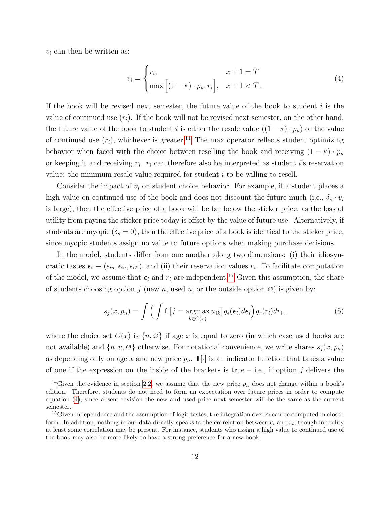$v_i$  can then be written as:

<span id="page-12-2"></span>
$$
v_i = \begin{cases} r_i, & x+1 = T \\ \max\left[ (1-\kappa) \cdot p_u, r_i \right], & x+1 < T. \end{cases}
$$
 (4)

If the book will be revised next semester, the future value of the book to student  $i$  is the value of continued use  $(r_i)$ . If the book will not be revised next semester, on the other hand, the future value of the book to student i is either the resale value  $((1 - \kappa) \cdot p_u)$  or the value of continued use  $(r_i)$ , whichever is greater.<sup>[14](#page-12-0)</sup> The max operator reflects student optimizing behavior when faced with the choice between reselling the book and receiving  $(1 - \kappa) \cdot p_u$ or keeping it and receiving  $r_i$ .  $r_i$  can therefore also be interpreted as student *i*'s reservation value: the minimum resale value required for student i to be willing to resell.

Consider the impact of  $v_i$  on student choice behavior. For example, if a student places a high value on continued use of the book and does not discount the future much (i.e.,  $\delta_s \cdot v_i$ is large), then the effective price of a book will be far below the sticker price, as the loss of utility from paying the sticker price today is offset by the value of future use. Alternatively, if students are myopic  $(\delta_s = 0)$ , then the effective price of a book is identical to the sticker price, since myopic students assign no value to future options when making purchase decisions.

In the model, students differ from one another along two dimensions: (i) their idiosyncratic tastes  $\epsilon_i \equiv (\epsilon_{in}, \epsilon_{iu}, \epsilon_{i\varnothing})$ , and (ii) their reservation values  $r_i$ . To facilitate computation of the model, we assume that  $\epsilon_i$  and  $r_i$  are independent.<sup>[15](#page-12-1)</sup> Given this assumption, the share of students choosing option j (new n, used u, or the outside option  $\varnothing$ ) is given by:

<span id="page-12-3"></span>
$$
s_j(x, p_n) = \int \left( \int \mathbb{1}\left[j = \underset{k \in C(x)}{\operatorname{argmax}} u_{ik}\right] g_{\epsilon}(\epsilon_i) d\epsilon_i \right) g_r(r_i) dr_i , \qquad (5)
$$

where the choice set  $C(x)$  is  $\{n, \emptyset\}$  if age x is equal to zero (in which case used books are not available) and  $\{n, u, \emptyset\}$  otherwise. For notational convenience, we write shares  $s_i(x, p_n)$ as depending only on age x and new price  $p_n$ .  $\mathbb{1}[\cdot]$  is an indicator function that takes a value of one if the expression on the inside of the brackets is true  $-$  i.e., if option j delivers the

<span id="page-12-0"></span><sup>&</sup>lt;sup>14</sup>Given the evidence in section [2.2,](#page-7-2) we assume that the new price  $p_n$  does not change within a book's edition. Therefore, students do not need to form an expectation over future prices in order to compute equation [\(4\)](#page-12-2), since absent revision the new and used price next semester will be the same as the current semester.

<span id="page-12-1"></span><sup>&</sup>lt;sup>15</sup>Given independence and the assumption of logit tastes, the integration over  $\epsilon_i$  can be computed in closed form. In addition, nothing in our data directly speaks to the correlation between  $\epsilon_i$  and  $r_i$ , though in reality at least some correlation may be present. For instance, students who assign a high value to continued use of the book may also be more likely to have a strong preference for a new book.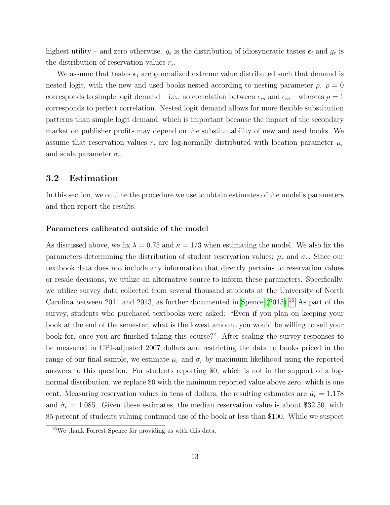highest utility – and zero otherwise.  $g_{\epsilon}$  is the distribution of idiosyncratic tastes  $\epsilon_i$  and  $g_r$  is the distribution of reservation values  $r_i$ .

We assume that tastes  $\epsilon_i$  are generalized extreme value distributed such that demand is nested logit, with the new and used books nested according to nesting parameter  $\rho$ .  $\rho = 0$ corresponds to simple logit demand – i.e., no correlation between  $\epsilon_{in}$  and  $\epsilon_{iu}$  – whereas  $\rho = 1$ corresponds to perfect correlation. Nested logit demand allows for more flexible substitution patterns than simple logit demand, which is important because the impact of the secondary market on publisher profits may depend on the substitutability of new and used books. We assume that reservation values  $r_i$  are log-normally distributed with location parameter  $\mu_r$ and scale parameter  $\sigma_r$ .

#### 3.2 Estimation

In this section, we outline the procedure we use to obtain estimates of the model's parameters and then report the results.

#### Parameters calibrated outside of the model

As discussed above, we fix  $\lambda = 0.75$  and  $\kappa = 1/3$  when estimating the model. We also fix the parameters determining the distribution of student reservation values:  $\mu_r$  and  $\sigma_r$ . Since our textbook data does not include any information that directly pertains to reservation values or resale decisions, we utilize an alternative source to inform these parameters. Specifically, we utilize survey data collected from several thousand students at the University of North Carolina between 2011 and 2013, as further documented in [Spence](#page-32-3)  $(2015).<sup>16</sup>$  $(2015).<sup>16</sup>$  $(2015).<sup>16</sup>$  $(2015).<sup>16</sup>$  As part of the survey, students who purchased textbooks were asked: "Even if you plan on keeping your book at the end of the semester, what is the lowest amount you would be willing to sell your book for, once you are finished taking this course?" After scaling the survey responses to be measured in CPI-adjusted 2007 dollars and restricting the data to books priced in the range of our final sample, we estimate  $\mu_r$  and  $\sigma_r$  by maximum likelihood using the reported answers to this question. For students reporting \$0, which is not in the support of a lognormal distribution, we replace \$0 with the minimum reported value above zero, which is one cent. Measuring reservation values in tens of dollars, the resulting estimates are  $\hat{\mu}_r = 1.178$ and  $\hat{\sigma}_r = 1.085$ . Given these estimates, the median reservation value is about \$32.50, with 85 percent of students valuing continued use of the book at less than \$100. While we suspect

<span id="page-13-0"></span><sup>16</sup>We thank Forrest Spence for providing us with this data.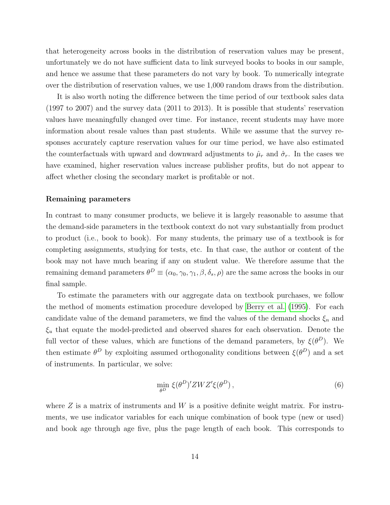that heterogeneity across books in the distribution of reservation values may be present, unfortunately we do not have sufficient data to link surveyed books to books in our sample, and hence we assume that these parameters do not vary by book. To numerically integrate over the distribution of reservation values, we use 1,000 random draws from the distribution.

It is also worth noting the difference between the time period of our textbook sales data (1997 to 2007) and the survey data (2011 to 2013). It is possible that students' reservation values have meaningfully changed over time. For instance, recent students may have more information about resale values than past students. While we assume that the survey responses accurately capture reservation values for our time period, we have also estimated the counterfactuals with upward and downward adjustments to  $\hat{\mu}_r$  and  $\hat{\sigma}_r$ . In the cases we have examined, higher reservation values increase publisher profits, but do not appear to affect whether closing the secondary market is profitable or not.

#### Remaining parameters

In contrast to many consumer products, we believe it is largely reasonable to assume that the demand-side parameters in the textbook context do not vary substantially from product to product (i.e., book to book). For many students, the primary use of a textbook is for completing assignments, studying for tests, etc. In that case, the author or content of the book may not have much bearing if any on student value. We therefore assume that the remaining demand parameters  $\theta^D \equiv (\alpha_0, \gamma_0, \gamma_1, \beta, \delta_s, \rho)$  are the same across the books in our final sample.

To estimate the parameters with our aggregate data on textbook purchases, we follow the method of moments estimation procedure developed by [Berry et al.](#page-30-7) [\(1995\)](#page-30-7). For each candidate value of the demand parameters, we find the values of the demand shocks  $\xi_n$  and  $\xi_u$  that equate the model-predicted and observed shares for each observation. Denote the full vector of these values, which are functions of the demand parameters, by  $\xi(\theta^D)$ . We then estimate  $\theta^D$  by exploiting assumed orthogonality conditions between  $\xi(\theta^D)$  and a set of instruments. In particular, we solve:

$$
\min_{\theta^D} \xi(\theta^D)' Z W Z' \xi(\theta^D) \,, \tag{6}
$$

where  $Z$  is a matrix of instruments and W is a positive definite weight matrix. For instruments, we use indicator variables for each unique combination of book type (new or used) and book age through age five, plus the page length of each book. This corresponds to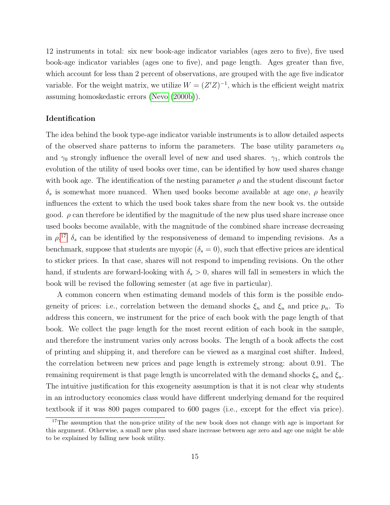12 instruments in total: six new book-age indicator variables (ages zero to five), five used book-age indicator variables (ages one to five), and page length. Ages greater than five, which account for less than 2 percent of observations, are grouped with the age five indicator variable. For the weight matrix, we utilize  $W = (Z'Z)^{-1}$ , which is the efficient weight matrix assuming homoskedastic errors [\(Nevo](#page-31-11) [\(2000b\)](#page-31-11)).

#### Identification

The idea behind the book type-age indicator variable instruments is to allow detailed aspects of the observed share patterns to inform the parameters. The base utility parameters  $\alpha_0$ and  $\gamma_0$  strongly influence the overall level of new and used shares.  $\gamma_1$ , which controls the evolution of the utility of used books over time, can be identified by how used shares change with book age. The identification of the nesting parameter  $\rho$  and the student discount factor  $\delta_s$  is somewhat more nuanced. When used books become available at age one,  $\rho$  heavily influences the extent to which the used book takes share from the new book vs. the outside good.  $\rho$  can therefore be identified by the magnitude of the new plus used share increase once used books become available, with the magnitude of the combined share increase decreasing in  $\rho$ <sup>[17](#page-15-0)</sup>  $\delta_s$  can be identified by the responsiveness of demand to impending revisions. As a benchmark, suppose that students are myopic  $(\delta_s = 0)$ , such that effective prices are identical to sticker prices. In that case, shares will not respond to impending revisions. On the other hand, if students are forward-looking with  $\delta_s > 0$ , shares will fall in semesters in which the book will be revised the following semester (at age five in particular).

A common concern when estimating demand models of this form is the possible endogeneity of prices: i.e., correlation between the demand shocks  $\xi_n$  and  $\xi_u$  and price  $p_n$ . To address this concern, we instrument for the price of each book with the page length of that book. We collect the page length for the most recent edition of each book in the sample, and therefore the instrument varies only across books. The length of a book affects the cost of printing and shipping it, and therefore can be viewed as a marginal cost shifter. Indeed, the correlation between new prices and page length is extremely strong: about 0.91. The remaining requirement is that page length is uncorrelated with the demand shocks  $\xi_n$  and  $\xi_u$ . The intuitive justification for this exogeneity assumption is that it is not clear why students in an introductory economics class would have different underlying demand for the required textbook if it was 800 pages compared to 600 pages (i.e., except for the effect via price).

<span id="page-15-0"></span><sup>&</sup>lt;sup>17</sup>The assumption that the non-price utility of the new book does not change with age is important for this argument. Otherwise, a small new plus used share increase between age zero and age one might be able to be explained by falling new book utility.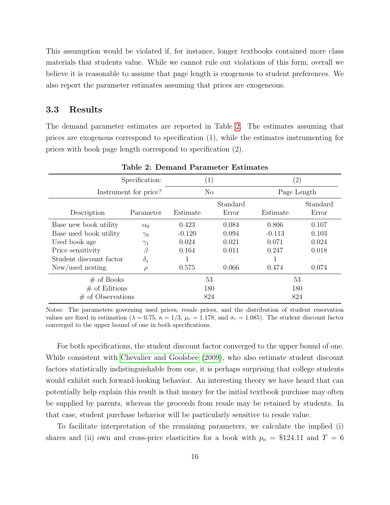This assumption would be violated if, for instance, longer textbooks contained more class materials that students value. While we cannot rule out violations of this form, overall we believe it is reasonable to assume that page length is exogenous to student preferences. We also report the parameter estimates assuming that prices are exogeneous.

#### 3.3 Results

The demand parameter estimates are reported in Table [2.](#page-16-0) The estimates assuming that prices are exogenous correspond to specification (1), while the estimates instrumenting for prices with book page length correspond to specification (2).

<span id="page-16-0"></span>

| Demana i arameter Dominato      |                  |                |                   |             |                   |  |  |
|---------------------------------|------------------|----------------|-------------------|-------------|-------------------|--|--|
| Specification:                  | $\left(1\right)$ |                | $\left( 2\right)$ |             |                   |  |  |
| Instrument for price?           |                  | N <sub>o</sub> |                   | Page Length |                   |  |  |
| Description                     | Parameter        | Estimate       | Standard<br>Error | Estimate    | Standard<br>Error |  |  |
| Base new book utility           | $\alpha_0$       | 0.423          | 0.084             | 0.806       | 0.107             |  |  |
| Base used book utility          | $\gamma_0$       | $-0.120$       | 0.094             | $-0.113$    | 0.103             |  |  |
| Used book age                   | $\gamma_1$       | 0.024          | 0.021             | 0.071       | 0.024             |  |  |
| Price sensitivity               | Β                | 0.164          | 0.011             | 0.247       | 0.018             |  |  |
| Student discount factor         | $\delta_s$       |                |                   |             |                   |  |  |
| New/used nesting                | ρ                | 0.575          | 0.066             | 0.474       | 0.074             |  |  |
| $#$ of Books<br>$#$ of Editions |                  | 53<br>180      |                   | 53<br>180   |                   |  |  |
| of Observations<br>#            |                  | 824            |                   |             | 824               |  |  |

Table 2: Demand Parameter Estimates

Notes: The parameters governing used prices, resale prices, and the distribution of student reservation values are fixed in estimation ( $\lambda = 0.75$ ,  $\kappa = 1/3$ ,  $\mu_r = 1.178$ , and  $\sigma_r = 1.085$ ). The student discount factor converged to the upper bound of one in both specifications.

For both specifications, the student discount factor converged to the upper bound of one. While consistent with [Chevalier and Goolsbee](#page-31-1) [\(2009\)](#page-31-1), who also estimate student discount factors statistically indistinguishable from one, it is perhaps surprising that college students would exhibit such forward-looking behavior. An interesting theory we have heard that can potentially help explain this result is that money for the initial textbook purchase may often be supplied by parents, whereas the proceeds from resale may be retained by students. In that case, student purchase behavior will be particularly sensitive to resale value.

To facilitate interpretation of the remaining parameters, we calculate the implied (i) shares and (ii) own and cross-price elasticities for a book with  $p_n = $124.11$  and  $T = 6$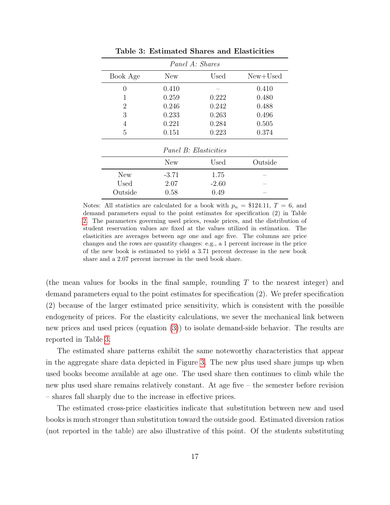<span id="page-17-0"></span>

| Panel A: Shares       |         |         |            |  |  |
|-----------------------|---------|---------|------------|--|--|
| Book Age              | New     | Used    | $New+Used$ |  |  |
| $\left( \right)$      | 0.410   |         | 0.410      |  |  |
| 1                     | 0.259   | 0.222   | 0.480      |  |  |
| 2                     | 0.246   | 0.242   | 0.488      |  |  |
| 3                     | 0.233   | 0.263   | 0.496      |  |  |
| 4                     | 0.221   | 0.284   | 0.505      |  |  |
| 5                     | 0.151   | 0.223   | 0.374      |  |  |
| Panel B: Elasticities |         |         |            |  |  |
|                       | New     | Used    | Outside    |  |  |
| <b>New</b>            | $-3.71$ | 1.75    |            |  |  |
| Used                  | 2.07    | $-2.60$ |            |  |  |
| Outside               | 0.58    | 0.49    |            |  |  |

Table 3: Estimated Shares and Elasticities

Notes: All statistics are calculated for a book with  $p_n = $124.11, T = 6$ , and demand parameters equal to the point estimates for specification (2) in Table [2.](#page-16-0) The parameters governing used prices, resale prices, and the distribution of student reservation values are fixed at the values utilized in estimation. The elasticities are averages between age one and age five. The columns are price changes and the rows are quantity changes: e.g., a 1 percent increase in the price of the new book is estimated to yield a 3.71 percent decrease in the new book share and a 2.07 percent increase in the used book share.

(the mean values for books in the final sample, rounding T to the nearest integer) and demand parameters equal to the point estimates for specification (2). We prefer specification (2) because of the larger estimated price sensitivity, which is consistent with the possible endogeneity of prices. For the elasticity calculations, we sever the mechanical link between new prices and used prices (equation [\(3\)](#page-11-0)) to isolate demand-side behavior. The results are reported in Table [3.](#page-17-0)

The estimated share patterns exhibit the same noteworthy characteristics that appear in the aggregate share data depicted in Figure [3.](#page-9-0) The new plus used share jumps up when used books become available at age one. The used share then continues to climb while the new plus used share remains relatively constant. At age five – the semester before revision – shares fall sharply due to the increase in effective prices.

The estimated cross-price elasticities indicate that substitution between new and used books is much stronger than substitution toward the outside good. Estimated diversion ratios (not reported in the table) are also illustrative of this point. Of the students substituting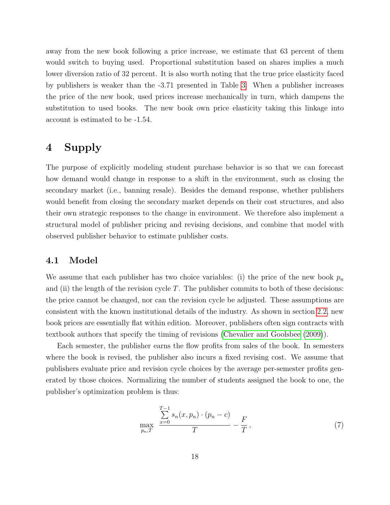away from the new book following a price increase, we estimate that 63 percent of them would switch to buying used. Proportional substitution based on shares implies a much lower diversion ratio of 32 percent. It is also worth noting that the true price elasticity faced by publishers is weaker than the -3.71 presented in Table [3.](#page-17-0) When a publisher increases the price of the new book, used prices increase mechanically in turn, which dampens the substitution to used books. The new book own price elasticity taking this linkage into account is estimated to be -1.54.

# <span id="page-18-0"></span>4 Supply

The purpose of explicitly modeling student purchase behavior is so that we can forecast how demand would change in response to a shift in the environment, such as closing the secondary market (i.e., banning resale). Besides the demand response, whether publishers would benefit from closing the secondary market depends on their cost structures, and also their own strategic responses to the change in environment. We therefore also implement a structural model of publisher pricing and revising decisions, and combine that model with observed publisher behavior to estimate publisher costs.

#### 4.1 Model

We assume that each publisher has two choice variables: (i) the price of the new book  $p_n$ and (ii) the length of the revision cycle  $T$ . The publisher commits to both of these decisions: the price cannot be changed, nor can the revision cycle be adjusted. These assumptions are consistent with the known institutional details of the industry. As shown in section [2.2,](#page-7-2) new book prices are essentially flat within edition. Moreover, publishers often sign contracts with textbook authors that specify the timing of revisions [\(Chevalier and Goolsbee](#page-31-1) [\(2009\)](#page-31-1)).

Each semester, the publisher earns the flow profits from sales of the book. In semesters where the book is revised, the publisher also incurs a fixed revising cost. We assume that publishers evaluate price and revision cycle choices by the average per-semester profits generated by those choices. Normalizing the number of students assigned the book to one, the publisher's optimization problem is thus:

<span id="page-18-1"></span>
$$
\max_{p_n, T} \frac{\sum_{x=0}^{T-1} s_n(x, p_n) \cdot (p_n - c)}{T} - \frac{F}{T},
$$
\n(7)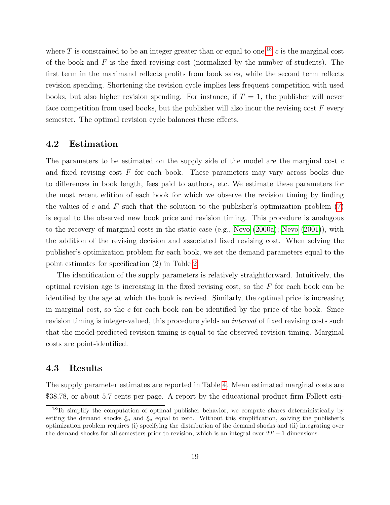where T is constrained to be an integer greater than or equal to one.<sup>[18](#page-19-0)</sup> c is the marginal cost of the book and  $F$  is the fixed revising cost (normalized by the number of students). The first term in the maximand reflects profits from book sales, while the second term reflects revision spending. Shortening the revision cycle implies less frequent competition with used books, but also higher revision spending. For instance, if  $T = 1$ , the publisher will never face competition from used books, but the publisher will also incur the revising cost  $F$  every semester. The optimal revision cycle balances these effects.

#### 4.2 Estimation

The parameters to be estimated on the supply side of the model are the marginal cost c and fixed revising cost  $F$  for each book. These parameters may vary across books due to differences in book length, fees paid to authors, etc. We estimate these parameters for the most recent edition of each book for which we observe the revision timing by finding the values of c and F such that the solution to the publisher's optimization problem  $(7)$ is equal to the observed new book price and revision timing. This procedure is analogous to the recovery of marginal costs in the static case (e.g., [Nevo](#page-31-12) [\(2000a\)](#page-31-12); [Nevo](#page-31-13) [\(2001\)](#page-31-13)), with the addition of the revising decision and associated fixed revising cost. When solving the publisher's optimization problem for each book, we set the demand parameters equal to the point estimates for specification (2) in Table [2.](#page-16-0)

The identification of the supply parameters is relatively straightforward. Intuitively, the optimal revision age is increasing in the fixed revising cost, so the  $F$  for each book can be identified by the age at which the book is revised. Similarly, the optimal price is increasing in marginal cost, so the  $c$  for each book can be identified by the price of the book. Since revision timing is integer-valued, this procedure yields an interval of fixed revising costs such that the model-predicted revision timing is equal to the observed revision timing. Marginal costs are point-identified.

### 4.3 Results

The supply parameter estimates are reported in Table [4.](#page-20-1) Mean estimated marginal costs are \$38.78, or about 5.7 cents per page. A report by the educational product firm Follett esti-

<span id="page-19-0"></span><sup>&</sup>lt;sup>18</sup>To simplify the computation of optimal publisher behavior, we compute shares deterministically by setting the demand shocks  $\xi_n$  and  $\xi_u$  equal to zero. Without this simplification, solving the publisher's optimization problem requires (i) specifying the distribution of the demand shocks and (ii) integrating over the demand shocks for all semesters prior to revision, which is an integral over  $2T - 1$  dimensions.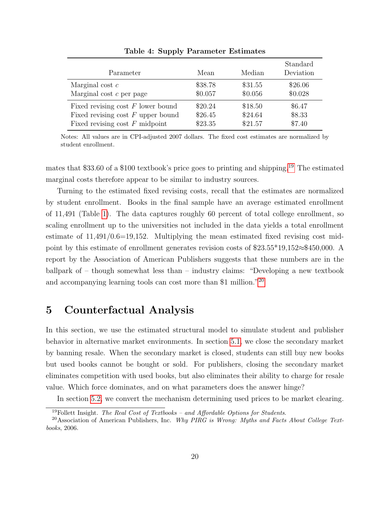<span id="page-20-1"></span>

| Parameter                           | Mean    | Median  | Standard<br>Deviation |
|-------------------------------------|---------|---------|-----------------------|
| Marginal cost $c$                   | \$38.78 | \$31.55 | \$26.06               |
| Marginal cost $c$ per page          | \$0.057 | \$0.056 | \$0.028               |
| Fixed revising cost $F$ lower bound | \$20.24 | \$18.50 | \$6.47                |
| Fixed revising cost $F$ upper bound | \$26.45 | \$24.64 | \$8.33                |
| Fixed revising cost $F$ midpoint    | \$23.35 | \$21.57 | \$7.40                |

Table 4: Supply Parameter Estimates

Notes: All values are in CPI-adjusted 2007 dollars. The fixed cost estimates are normalized by student enrollment.

mates that \$33.60 of a \$100 textbook's price goes to printing and shipping.[19](#page-20-2) The estimated marginal costs therefore appear to be similar to industry sources.

Turning to the estimated fixed revising costs, recall that the estimates are normalized by student enrollment. Books in the final sample have an average estimated enrollment of 11,491 (Table [1\)](#page-6-0). The data captures roughly 60 percent of total college enrollment, so scaling enrollment up to the universities not included in the data yields a total enrollment estimate of  $11,491/0.6=19,152$ . Multiplying the mean estimated fixed revising cost midpoint by this estimate of enrollment generates revision costs of \$23.55\*19,152≈\$450,000. A report by the Association of American Publishers suggests that these numbers are in the ballpark of – though somewhat less than – industry claims: "Developing a new textbook and accompanying learning tools can cost more than \$1 million."[20](#page-20-3)

# <span id="page-20-0"></span>5 Counterfactual Analysis

In this section, we use the estimated structural model to simulate student and publisher behavior in alternative market environments. In section [5.1,](#page-21-0) we close the secondary market by banning resale. When the secondary market is closed, students can still buy new books but used books cannot be bought or sold. For publishers, closing the secondary market eliminates competition with used books, but also eliminates their ability to charge for resale value. Which force dominates, and on what parameters does the answer hinge?

In section [5.2,](#page-25-0) we convert the mechanism determining used prices to be market clearing.

<span id="page-20-3"></span><span id="page-20-2"></span><sup>&</sup>lt;sup>19</sup>Follett Insight. The Real Cost of Textbooks – and Affordable Options for Students.

<sup>&</sup>lt;sup>20</sup>Association of American Publishers, Inc. Why PIRG is Wrong: Myths and Facts About College Textbooks, 2006.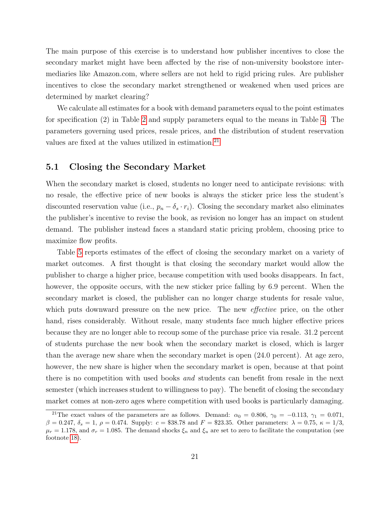The main purpose of this exercise is to understand how publisher incentives to close the secondary market might have been affected by the rise of non-university bookstore intermediaries like Amazon.com, where sellers are not held to rigid pricing rules. Are publisher incentives to close the secondary market strengthened or weakened when used prices are determined by market clearing?

We calculate all estimates for a book with demand parameters equal to the point estimates for specification (2) in Table [2](#page-16-0) and supply parameters equal to the means in Table [4.](#page-20-1) The parameters governing used prices, resale prices, and the distribution of student reservation values are fixed at the values utilized in estimation.[21](#page-21-1)

#### <span id="page-21-0"></span>5.1 Closing the Secondary Market

When the secondary market is closed, students no longer need to anticipate revisions: with no resale, the effective price of new books is always the sticker price less the student's discounted reservation value (i.e.,  $p_n - \delta_s \cdot r_i$ ). Closing the secondary market also eliminates the publisher's incentive to revise the book, as revision no longer has an impact on student demand. The publisher instead faces a standard static pricing problem, choosing price to maximize flow profits.

Table [5](#page-22-0) reports estimates of the effect of closing the secondary market on a variety of market outcomes. A first thought is that closing the secondary market would allow the publisher to charge a higher price, because competition with used books disappears. In fact, however, the opposite occurs, with the new sticker price falling by 6.9 percent. When the secondary market is closed, the publisher can no longer charge students for resale value, which puts downward pressure on the new price. The new *effective* price, on the other hand, rises considerably. Without resale, many students face much higher effective prices because they are no longer able to recoup some of the purchase price via resale. 31.2 percent of students purchase the new book when the secondary market is closed, which is larger than the average new share when the secondary market is open (24.0 percent). At age zero, however, the new share is higher when the secondary market is open, because at that point there is no competition with used books and students can benefit from resale in the next semester (which increases student to willingness to pay). The benefit of closing the secondary market comes at non-zero ages where competition with used books is particularly damaging.

<span id="page-21-1"></span><sup>&</sup>lt;sup>21</sup>The exact values of the parameters are as follows. Demand:  $\alpha_0 = 0.806$ ,  $\gamma_0 = -0.113$ ,  $\gamma_1 = 0.071$ ,  $β = 0.247, δ_s = 1, ρ = 0.474$ . Supply:  $c = $38.78$  and  $F = $23.35$ . Other parameters:  $λ = 0.75, κ = 1/3$ ,  $\mu_r = 1.178$ , and  $\sigma_r = 1.085$ . The demand shocks  $\xi_n$  and  $\xi_u$  are set to zero to facilitate the computation (see footnote [18\)](#page-19-0).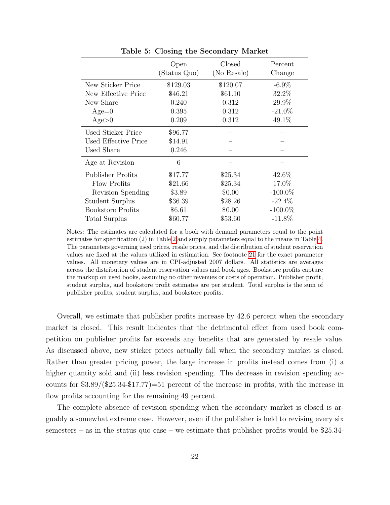<span id="page-22-0"></span>

|                          | Open<br>(Status Quo) | Closed<br>(No Resale) | Percent<br>Change |
|--------------------------|----------------------|-----------------------|-------------------|
| New Sticker Price        | \$129.03             | \$120.07              | $-6.9\%$          |
| New Effective Price      | \$46.21              | \$61.10               | 32.2%             |
| New Share                | 0.240                | 0.312                 | 29.9%             |
| $Age=0$                  | 0.395                | 0.312                 | $-21.0\%$         |
| Age>0                    | 0.209                | 0.312                 | 49.1%             |
| Used Sticker Price       | \$96.77              |                       |                   |
| Used Effective Price     | \$14.91              |                       |                   |
| Used Share               | 0.246                |                       |                   |
| Age at Revision          | 6                    |                       |                   |
| Publisher Profits        | \$17.77              | \$25.34               | 42.6\%            |
| Flow Profits             | \$21.66              | \$25.34               | 17.0%             |
| Revision Spending        | \$3.89               | \$0.00                | $-100.0\%$        |
| Student Surplus          | \$36.39              | \$28.26               | $-22.4\%$         |
| <b>Bookstore Profits</b> | \$6.61               | \$0.00                | $-100.0\%$        |
| Total Surplus            | \$60.77              | \$53.60               | $-11.8\%$         |

Table 5: Closing the Secondary Market

Notes: The estimates are calculated for a book with demand parameters equal to the point estimates for specification (2) in Table [2](#page-16-0) and supply parameters equal to the means in Table [4.](#page-20-1) The parameters governing used prices, resale prices, and the distribution of student reservation values are fixed at the values utilized in estimation. See footnote [21](#page-21-1) for the exact parameter values. All monetary values are in CPI-adjusted 2007 dollars. All statistics are averages across the distribution of student reservation values and book ages. Bookstore profits capture the markup on used books, assuming no other revenues or costs of operation. Publisher profit, student surplus, and bookstore profit estimates are per student. Total surplus is the sum of publisher profits, student surplus, and bookstore profits.

Overall, we estimate that publisher profits increase by 42.6 percent when the secondary market is closed. This result indicates that the detrimental effect from used book competition on publisher profits far exceeds any benefits that are generated by resale value. As discussed above, new sticker prices actually fall when the secondary market is closed. Rather than greater pricing power, the large increase in profits instead comes from (i) a higher quantity sold and (ii) less revision spending. The decrease in revision spending accounts for \$3.89/(\$25.34-\$17.77)=51 percent of the increase in profits, with the increase in flow profits accounting for the remaining 49 percent.

The complete absence of revision spending when the secondary market is closed is arguably a somewhat extreme case. However, even if the publisher is held to revising every six semesters – as in the status quo case – we estimate that publisher profits would be  $$25.34$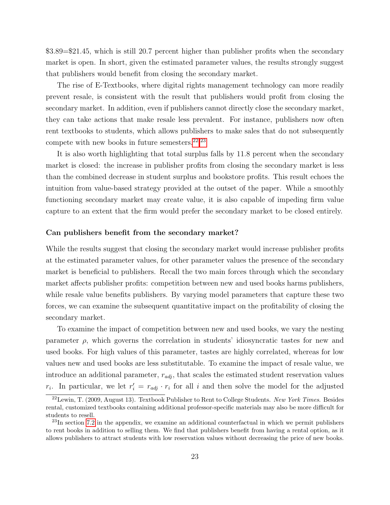\$3.89=\$21.45, which is still 20.7 percent higher than publisher profits when the secondary market is open. In short, given the estimated parameter values, the results strongly suggest that publishers would benefit from closing the secondary market.

The rise of E-Textbooks, where digital rights management technology can more readily prevent resale, is consistent with the result that publishers would profit from closing the secondary market. In addition, even if publishers cannot directly close the secondary market, they can take actions that make resale less prevalent. For instance, publishers now often rent textbooks to students, which allows publishers to make sales that do not subsequently compete with new books in future semesters. $22,23$  $22,23$  $22,23$ 

It is also worth highlighting that total surplus falls by 11.8 percent when the secondary market is closed: the increase in publisher profits from closing the secondary market is less than the combined decrease in student surplus and bookstore profits. This result echoes the intuition from value-based strategy provided at the outset of the paper. While a smoothly functioning secondary market may create value, it is also capable of impeding firm value capture to an extent that the firm would prefer the secondary market to be closed entirely.

#### Can publishers benefit from the secondary market?

While the results suggest that closing the secondary market would increase publisher profits at the estimated parameter values, for other parameter values the presence of the secondary market is beneficial to publishers. Recall the two main forces through which the secondary market affects publisher profits: competition between new and used books harms publishers, while resale value benefits publishers. By varying model parameters that capture these two forces, we can examine the subsequent quantitative impact on the profitability of closing the secondary market.

To examine the impact of competition between new and used books, we vary the nesting parameter  $\rho$ , which governs the correlation in students' idiosyncratic tastes for new and used books. For high values of this parameter, tastes are highly correlated, whereas for low values new and used books are less substitutable. To examine the impact of resale value, we introduce an additional parameter,  $r_{adj}$ , that scales the estimated student reservation values  $r_i$ . In particular, we let  $r'_i = r_{adj} \cdot r_i$  for all i and then solve the model for the adjusted

<span id="page-23-0"></span> $^{22}$ Lewin, T. (2009, August 13). Textbook Publisher to Rent to College Students. New York Times. Besides rental, customized textbooks containing additional professor-specific materials may also be more difficult for students to resell.

<span id="page-23-1"></span> $^{23}$ In section [7.2](#page-34-0) in the appendix, we examine an additional counterfactual in which we permit publishers to rent books in addition to selling them. We find that publishers benefit from having a rental option, as it allows publishers to attract students with low reservation values without decreasing the price of new books.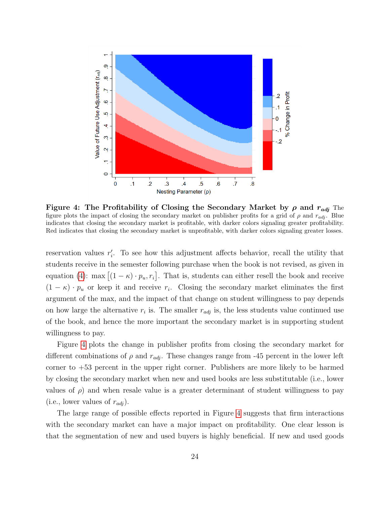<span id="page-24-0"></span>

Figure 4: The Profitability of Closing the Secondary Market by  $\rho$  and  $r_{adi}$  The figure plots the impact of closing the secondary market on publisher profits for a grid of  $\rho$  and  $r_{adj}$ . Blue indicates that closing the secondary market is profitable, with darker colors signaling greater profitability. Red indicates that closing the secondary market is unprofitable, with darker colors signaling greater losses.

reservation values  $r_i'$ . To see how this adjustment affects behavior, recall the utility that students receive in the semester following purchase when the book is not revised, as given in equation [\(4\)](#page-12-2): max  $[(1 - \kappa) \cdot p_u, r_i]$ . That is, students can either resell the book and receive  $(1 - \kappa) \cdot p_u$  or keep it and receive  $r_i$ . Closing the secondary market eliminates the first argument of the max, and the impact of that change on student willingness to pay depends on how large the alternative  $r_i$  is. The smaller  $r_{adj}$  is, the less students value continued use of the book, and hence the more important the secondary market is in supporting student willingness to pay.

Figure [4](#page-24-0) plots the change in publisher profits from closing the secondary market for different combinations of  $\rho$  and  $r_{adj}$ . These changes range from -45 percent in the lower left corner to +53 percent in the upper right corner. Publishers are more likely to be harmed by closing the secondary market when new and used books are less substitutable (i.e., lower values of  $\rho$ ) and when resale value is a greater determinant of student willingness to pay (i.e., lower values of  $r_{adj}$ ).

The large range of possible effects reported in Figure [4](#page-24-0) suggests that firm interactions with the secondary market can have a major impact on profitability. One clear lesson is that the segmentation of new and used buyers is highly beneficial. If new and used goods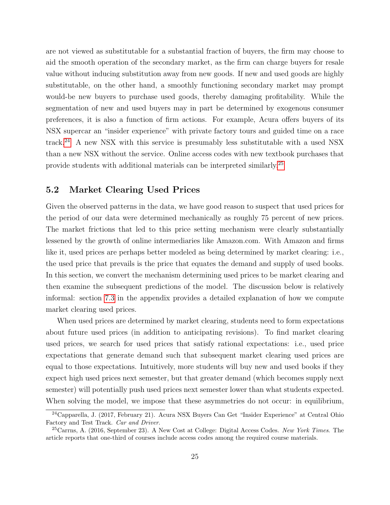are not viewed as substitutable for a substantial fraction of buyers, the firm may choose to aid the smooth operation of the secondary market, as the firm can charge buyers for resale value without inducing substitution away from new goods. If new and used goods are highly substitutable, on the other hand, a smoothly functioning secondary market may prompt would-be new buyers to purchase used goods, thereby damaging profitability. While the segmentation of new and used buyers may in part be determined by exogenous consumer preferences, it is also a function of firm actions. For example, Acura offers buyers of its NSX supercar an "insider experience" with private factory tours and guided time on a race track.<sup>[24](#page-25-1)</sup> A new NSX with this service is presumably less substitutable with a used NSX than a new NSX without the service. Online access codes with new textbook purchases that provide students with additional materials can be interpreted similarly.[25](#page-25-2)

#### <span id="page-25-0"></span>5.2 Market Clearing Used Prices

Given the observed patterns in the data, we have good reason to suspect that used prices for the period of our data were determined mechanically as roughly 75 percent of new prices. The market frictions that led to this price setting mechanism were clearly substantially lessened by the growth of online intermediaries like Amazon.com. With Amazon and firms like it, used prices are perhaps better modeled as being determined by market clearing: i.e., the used price that prevails is the price that equates the demand and supply of used books. In this section, we convert the mechanism determining used prices to be market clearing and then examine the subsequent predictions of the model. The discussion below is relatively informal: section [7.3](#page-35-0) in the appendix provides a detailed explanation of how we compute market clearing used prices.

When used prices are determined by market clearing, students need to form expectations about future used prices (in addition to anticipating revisions). To find market clearing used prices, we search for used prices that satisfy rational expectations: i.e., used price expectations that generate demand such that subsequent market clearing used prices are equal to those expectations. Intuitively, more students will buy new and used books if they expect high used prices next semester, but that greater demand (which becomes supply next semester) will potentially push used prices next semester lower than what students expected. When solving the model, we impose that these asymmetries do not occur: in equilibrium,

<span id="page-25-1"></span><sup>24</sup>Capparella, J. (2017, February 21). Acura NSX Buyers Can Get "Insider Experience" at Central Ohio Factory and Test Track. Car and Driver.

<span id="page-25-2"></span> $^{25}$ Carrns, A. (2016, September 23). A New Cost at College: Digital Access Codes. New York Times. The article reports that one-third of courses include access codes among the required course materials.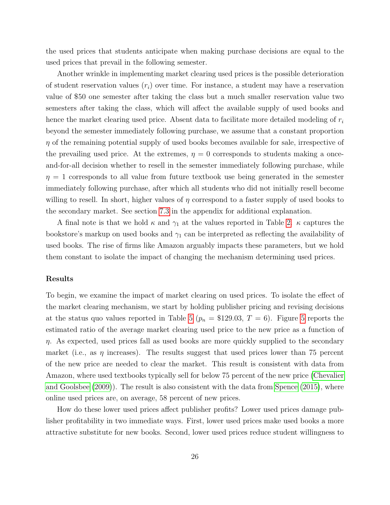the used prices that students anticipate when making purchase decisions are equal to the used prices that prevail in the following semester.

Another wrinkle in implementing market clearing used prices is the possible deterioration of student reservation values  $(r_i)$  over time. For instance, a student may have a reservation value of \$50 one semester after taking the class but a much smaller reservation value two semesters after taking the class, which will affect the available supply of used books and hence the market clearing used price. Absent data to facilitate more detailed modeling of  $r_i$ beyond the semester immediately following purchase, we assume that a constant proportion  $\eta$  of the remaining potential supply of used books becomes available for sale, irrespective of the prevailing used price. At the extremes,  $\eta = 0$  corresponds to students making a onceand-for-all decision whether to resell in the semester immediately following purchase, while  $\eta = 1$  corresponds to all value from future textbook use being generated in the semester immediately following purchase, after which all students who did not initially resell become willing to resell. In short, higher values of  $\eta$  correspond to a faster supply of used books to the secondary market. See section [7.3](#page-35-0) in the appendix for additional explanation.

A final note is that we hold  $\kappa$  and  $\gamma_1$  at the values reported in Table [2.](#page-16-0)  $\kappa$  captures the bookstore's markup on used books and  $\gamma_1$  can be interpreted as reflecting the availability of used books. The rise of firms like Amazon arguably impacts these parameters, but we hold them constant to isolate the impact of changing the mechanism determining used prices.

#### Results

To begin, we examine the impact of market clearing on used prices. To isolate the effect of the market clearing mechanism, we start by holding publisher pricing and revising decisions at the status quo values reported in Table [5](#page-27-0) ( $p_n = $129.03, T = 6$ ). Figure 5 reports the estimated ratio of the average market clearing used price to the new price as a function of  $\eta$ . As expected, used prices fall as used books are more quickly supplied to the secondary market (i.e., as  $\eta$  increases). The results suggest that used prices lower than 75 percent of the new price are needed to clear the market. This result is consistent with data from Amazon, where used textbooks typically sell for below 75 percent of the new price [\(Chevalier](#page-31-1) [and Goolsbee](#page-31-1) [\(2009\)](#page-31-1)). The result is also consistent with the data from [Spence](#page-32-3) [\(2015\)](#page-32-3), where online used prices are, on average, 58 percent of new prices.

How do these lower used prices affect publisher profits? Lower used prices damage publisher profitability in two immediate ways. First, lower used prices make used books a more attractive substitute for new books. Second, lower used prices reduce student willingness to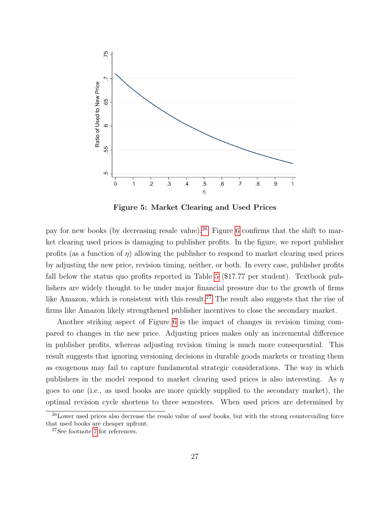<span id="page-27-0"></span>

Figure 5: Market Clearing and Used Prices

pay for new books (by decreasing resale value).<sup>[26](#page-27-1)</sup> Figure [6](#page-28-0) confirms that the shift to market clearing used prices is damaging to publisher profits. In the figure, we report publisher profits (as a function of  $\eta$ ) allowing the publisher to respond to market clearing used prices by adjusting the new price, revision timing, neither, or both. In every case, publisher profits fall below the status quo profits reported in Table [5](#page-22-0) (\$17.77 per student). Textbook publishers are widely thought to be under major financial pressure due to the growth of firms like Amazon, which is consistent with this result.<sup>[27](#page-27-2)</sup> The result also suggests that the rise of firms like Amazon likely strengthened publisher incentives to close the secondary market.

Another striking aspect of Figure [6](#page-28-0) is the impact of changes in revision timing compared to changes in the new price. Adjusting prices makes only an incremental difference in publisher profits, whereas adjusting revision timing is much more consequential. This result suggests that ignoring versioning decisions in durable goods markets or treating them as exogenous may fail to capture fundamental strategic considerations. The way in which publishers in the model respond to market clearing used prices is also interesting. As  $\eta$ goes to one (i.e., as used books are more quickly supplied to the secondary market), the optimal revision cycle shortens to three semesters. When used prices are determined by

<span id="page-27-1"></span> $^{26}$ Lower used prices also decrease the resale value of used books, but with the strong countervailing force that used books are cheaper upfront.

<span id="page-27-2"></span><sup>27</sup>See footnote [7](#page-3-0) for references.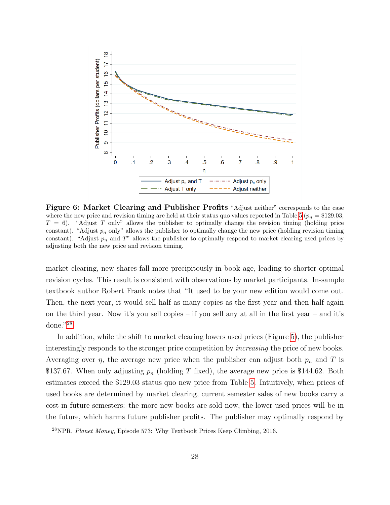<span id="page-28-0"></span>

Figure 6: Market Clearing and Publisher Profits "Adjust neither" corresponds to the case where the new price and revision timing are held at their status quo values reported in Table [5](#page-22-0) ( $p_n = $129.03$ ,  $T = 6$ ). "Adjust T only" allows the publisher to optimally change the revision timing (holding price constant). "Adjust  $p_n$  only" allows the publisher to optimally change the new price (holding revision timing constant). "Adjust  $p_n$  and T" allows the publisher to optimally respond to market clearing used prices by adjusting both the new price and revision timing.

market clearing, new shares fall more precipitously in book age, leading to shorter optimal revision cycles. This result is consistent with observations by market participants. In-sample textbook author Robert Frank notes that "It used to be your new edition would come out. Then, the next year, it would sell half as many copies as the first year and then half again on the third year. Now it's you sell copies – if you sell any at all in the first year – and it's done."[28](#page-28-1)

In addition, while the shift to market clearing lowers used prices (Figure [5\)](#page-27-0), the publisher interestingly responds to the stronger price competition by *increasing* the price of new books. Averaging over  $\eta$ , the average new price when the publisher can adjust both  $p_n$  and T is \$137.67. When only adjusting  $p_n$  (holding T fixed), the average new price is \$144.62. Both estimates exceed the \$129.03 status quo new price from Table [5.](#page-22-0) Intuitively, when prices of used books are determined by market clearing, current semester sales of new books carry a cost in future semesters: the more new books are sold now, the lower used prices will be in the future, which harms future publisher profits. The publisher may optimally respond by

<span id="page-28-1"></span> $^{28}$ NPR, *Planet Money*, Episode 573: Why Textbook Prices Keep Climbing, 2016.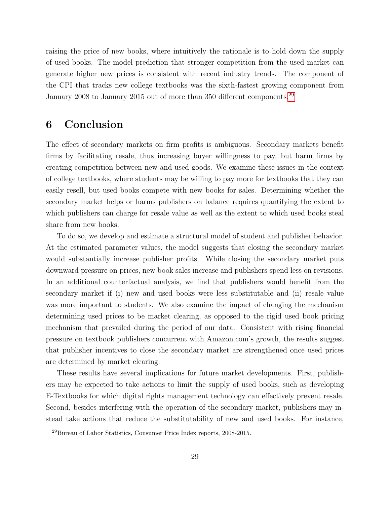raising the price of new books, where intuitively the rationale is to hold down the supply of used books. The model prediction that stronger competition from the used market can generate higher new prices is consistent with recent industry trends. The component of the CPI that tracks new college textbooks was the sixth-fastest growing component from January 2008 to January 2015 out of more than 350 different components.<sup>[29](#page-29-1)</sup>

# <span id="page-29-0"></span>6 Conclusion

The effect of secondary markets on firm profits is ambiguous. Secondary markets benefit firms by facilitating resale, thus increasing buyer willingness to pay, but harm firms by creating competition between new and used goods. We examine these issues in the context of college textbooks, where students may be willing to pay more for textbooks that they can easily resell, but used books compete with new books for sales. Determining whether the secondary market helps or harms publishers on balance requires quantifying the extent to which publishers can charge for resale value as well as the extent to which used books steal share from new books.

To do so, we develop and estimate a structural model of student and publisher behavior. At the estimated parameter values, the model suggests that closing the secondary market would substantially increase publisher profits. While closing the secondary market puts downward pressure on prices, new book sales increase and publishers spend less on revisions. In an additional counterfactual analysis, we find that publishers would benefit from the secondary market if (i) new and used books were less substitutable and (ii) resale value was more important to students. We also examine the impact of changing the mechanism determining used prices to be market clearing, as opposed to the rigid used book pricing mechanism that prevailed during the period of our data. Consistent with rising financial pressure on textbook publishers concurrent with Amazon.com's growth, the results suggest that publisher incentives to close the secondary market are strengthened once used prices are determined by market clearing.

These results have several implications for future market developments. First, publishers may be expected to take actions to limit the supply of used books, such as developing E-Textbooks for which digital rights management technology can effectively prevent resale. Second, besides interfering with the operation of the secondary market, publishers may instead take actions that reduce the substitutability of new and used books. For instance,

<span id="page-29-1"></span><sup>29</sup>Bureau of Labor Statistics, Consumer Price Index reports, 2008-2015.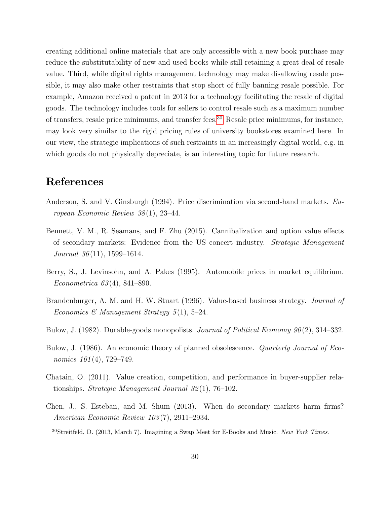creating additional online materials that are only accessible with a new book purchase may reduce the substitutability of new and used books while still retaining a great deal of resale value. Third, while digital rights management technology may make disallowing resale possible, it may also make other restraints that stop short of fully banning resale possible. For example, Amazon received a patent in 2013 for a technology facilitating the resale of digital goods. The technology includes tools for sellers to control resale such as a maximum number of transfers, resale price minimums, and transfer fees.[30](#page-30-8) Resale price minimums, for instance, may look very similar to the rigid pricing rules of university bookstores examined here. In our view, the strategic implications of such restraints in an increasingly digital world, e.g. in which goods do not physically depreciate, is an interesting topic for future research.

# References

- <span id="page-30-4"></span>Anderson, S. and V. Ginsburgh (1994). Price discrimination via second-hand markets.  $Eu$ ropean Economic Review 38 (1), 23–44.
- <span id="page-30-5"></span>Bennett, V. M., R. Seamans, and F. Zhu (2015). Cannibalization and option value effects of secondary markets: Evidence from the US concert industry. Strategic Management Journal  $36(11)$ , 1599–1614.
- <span id="page-30-7"></span>Berry, S., J. Levinsohn, and A. Pakes (1995). Automobile prices in market equilibrium. Econometrica 63 (4), 841–890.
- <span id="page-30-0"></span>Brandenburger, A. M. and H. W. Stuart (1996). Value-based business strategy. *Journal of* Economics & Management Strategy  $5(1)$ , 5-24.
- <span id="page-30-2"></span>Bulow, J. (1982). Durable-goods monopolists. *Journal of Political Economy 90(2)*, 314–332.
- <span id="page-30-3"></span>Bulow, J. (1986). An economic theory of planned obsolescence. *Quarterly Journal of Eco*nomics  $101(4)$ , 729–749.
- <span id="page-30-1"></span>Chatain, O. (2011). Value creation, competition, and performance in buyer-supplier relationships. Strategic Management Journal 32 (1), 76–102.
- <span id="page-30-6"></span>Chen, J., S. Esteban, and M. Shum (2013). When do secondary markets harm firms? American Economic Review 103 (7), 2911–2934.

<span id="page-30-8"></span><sup>&</sup>lt;sup>30</sup>Streitfeld, D. (2013, March 7). Imagining a Swap Meet for E-Books and Music. New York Times.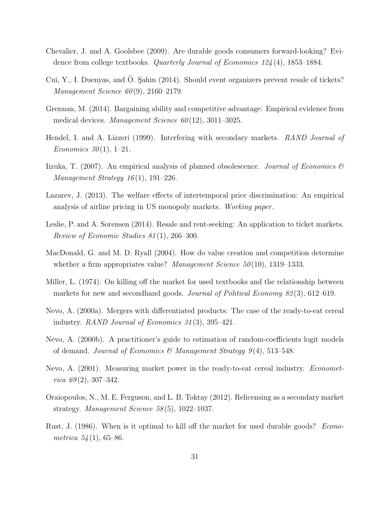- <span id="page-31-1"></span>Chevalier, J. and A. Goolsbee (2009). Are durable goods consumers forward-looking? Evidence from college textbooks. Quarterly Journal of Economics 124 (4), 1853–1884.
- <span id="page-31-6"></span>Cui, Y., I. Duenyas, and O. Sahin (2014). Should event organizers prevent resale of tickets? Management Science  $60(9)$ , 2160-2179.
- <span id="page-31-9"></span>Grennan, M. (2014). Bargaining ability and competitive advantage: Empirical evidence from medical devices. Management Science  $60(12)$ , 3011–3025.
- <span id="page-31-2"></span>Hendel, I. and A. Lizzeri (1999). Interfering with secondary markets. RAND Journal of *Economics* 30(1), 1-21.
- <span id="page-31-10"></span>Iizuka, T. (2007). An empirical analysis of planned obsolescence. Journal of Economics  $\mathscr B$ Management Strategy  $16(1)$ , 191–226.
- <span id="page-31-7"></span>Lazarev, J. (2013). The welfare effects of intertemporal price discrimination: An empirical analysis of airline pricing in US monopoly markets. Working paper .
- <span id="page-31-8"></span>Leslie, P. and A. Sorensen (2014). Resale and rent-seeking: An application to ticket markets. Review of Economic Studies 81 (1), 266–300.
- <span id="page-31-0"></span>MacDonald, G. and M. D. Ryall (2004). How do value creation and competition determine whether a firm appropriates value? *Management Science*  $50(10)$ , 1319–1333.
- <span id="page-31-3"></span>Miller, L. (1974). On killing off the market for used textbooks and the relationship between markets for new and secondhand goods. Journal of Political Economy 82(3), 612–619.
- <span id="page-31-12"></span>Nevo, A. (2000a). Mergers with differentiated products: The case of the ready-to-eat cereal industry. RAND Journal of Economics 31 (3), 395–421.
- <span id="page-31-11"></span>Nevo, A. (2000b). A practitioner's guide to estimation of random-coefficients logit models of demand. Journal of Economics & Management Strategy  $9(4)$ , 513–548.
- <span id="page-31-13"></span>Nevo, A. (2001). Measuring market power in the ready-to-eat cereal industry. *Economet*rica  $69(2)$ , 307-342.
- <span id="page-31-5"></span>Oraiopoulos, N., M. E. Ferguson, and L. B. Toktay (2012). Relicensing as a secondary market strategy. Management Science 58 (5), 1022–1037.
- <span id="page-31-4"></span>Rust, J. (1986). When is it optimal to kill off the market for used durable goods? Econometrica  $54(1)$ , 65–86.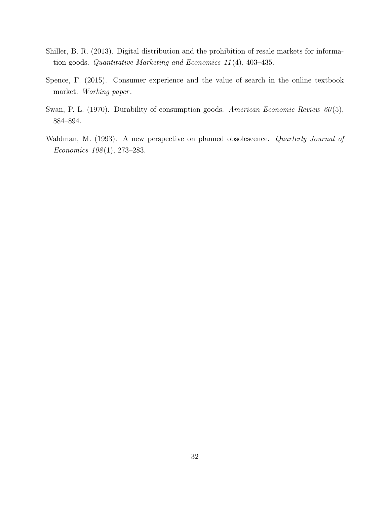- <span id="page-32-2"></span>Shiller, B. R. (2013). Digital distribution and the prohibition of resale markets for information goods. Quantitative Marketing and Economics 11 (4), 403–435.
- <span id="page-32-3"></span>Spence, F. (2015). Consumer experience and the value of search in the online textbook market. Working paper .
- <span id="page-32-0"></span>Swan, P. L. (1970). Durability of consumption goods. American Economic Review  $60(5)$ , 884–894.
- <span id="page-32-1"></span>Waldman, M. (1993). A new perspective on planned obsolescence. *Quarterly Journal of* Economics 108 (1), 273–283.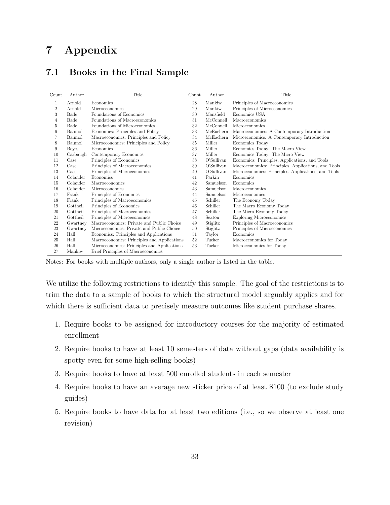# 7 Appendix

### <span id="page-33-0"></span>7.1 Books in the Final Sample

| Count          | Author       | Title                                       | Count | Author        | Title                                               |
|----------------|--------------|---------------------------------------------|-------|---------------|-----------------------------------------------------|
| 1              | Arnold       | Economics                                   | 28    | Mankiw        | Principles of Macroeconomics                        |
| $\overline{2}$ | Arnold       | Microeconomics                              | 29    | Mankiw        | Principles of Microeconomics                        |
| 3              | Bade         | Foundations of Economics                    | 30    | Mansfield     | Economics USA                                       |
| 4              | Bade         | Foundations of Macroeconomics               | 31    | McConnell     | Macroeconomics                                      |
| 5              | Bade         | Foundations of Microeconomics               | 32    | McConnell     | Microeconomics                                      |
| 6              | Baumol       | Economics: Principles and Policy            | 33    | McEachern     | Macroeconomics: A Contemporary Introduction         |
| 7              | Baumol       | Macroeconomics: Principles and Policy       | 34    | McEachern     | Microeconomics: A Contemporary Introduction         |
| 8              | Baumol       | Microeconomics: Principles and Policy       | 35    | Miller        | Economics Today                                     |
| 9              | <b>Boyes</b> | Economics                                   | 36    | Miller        | Economics Today: The Macro View                     |
| 10             | Carbaugh     | Contemporary Economics                      | 37    | Miller        | Economics Today: The Micro View                     |
| 11             | Case         | Principles of Economics                     | 38    | O'Sullivan    | Economics: Principles, Applications, and Tools      |
| 12             | Case         | Principles of Macroeconomics                | 39    | $O'S$ ullivan | Macroeconomics: Principles, Applications, and Tools |
| 13             | Case         | Principles of Microeconomics                | 40    | O'Sullivan    | Microeconomics: Principles, Applications, and Tools |
| 14             | Colander     | Economics                                   | 41    | Parkin        | Economics                                           |
| 15             | Colander     | Macroeconomics                              | 42    | Samuelson     | Economics                                           |
| 16             | Colander     | Microeconomics                              | 43    | Samuelson     | Macroeconomics                                      |
| 17             | Frank        | Principles of Economics                     | 44    | Samuelson     | Microeconomics                                      |
| 18             | Frank        | Principles of Macroeconomics                | 45    | Schiller      | The Economy Today                                   |
| 19             | Gottheil     | Principles of Economics                     | 46    | Schiller      | The Macro Economy Today                             |
| 20             | Gottheil     | Principles of Macroeconomics                | 47    | Schiller      | The Micro Economy Today                             |
| 21             | Gottheil     | Principles of Microeconomics                | 48    | Sexton        | <b>Exploring Microeconomics</b>                     |
| 22             | Gwartney     | Macroeconomics: Private and Public Choice   | 49    | Stiglitz      | Principles of Macroeconomics                        |
| 23             | Gwartney     | Microeconomics: Private and Public Choice   | 50    | Stiglitz      | Principles of Microeconomics                        |
| 24             | Hall         | Economics: Principles and Applications      | 51    | Taylor        | Economics                                           |
| 25             | Hall         | Macroeconomics: Principles and Applications | 52    | Tucker        | Macroeconomics for Today                            |
| 26             | Hall         | Microeconomics: Principles and Applications | 53    | Tucker        | Microeconomics for Today                            |
| 27             | Mankiw       | Brief Principles of Macroeconomics          |       |               |                                                     |

Notes: For books with multiple authors, only a single author is listed in the table.

We utilize the following restrictions to identify this sample. The goal of the restrictions is to trim the data to a sample of books to which the structural model arguably applies and for which there is sufficient data to precisely measure outcomes like student purchase shares.

- 1. Require books to be assigned for introductory courses for the majority of estimated enrollment
- 2. Require books to have at least 10 semesters of data without gaps (data availability is spotty even for some high-selling books)
- 3. Require books to have at least 500 enrolled students in each semester
- 4. Require books to have an average new sticker price of at least \$100 (to exclude study guides)
- 5. Require books to have data for at least two editions (i.e., so we observe at least one revision)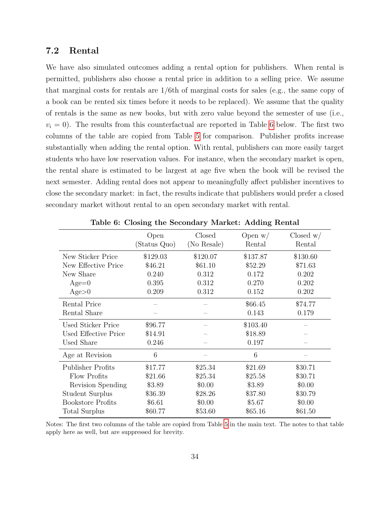### <span id="page-34-0"></span>7.2 Rental

We have also simulated outcomes adding a rental option for publishers. When rental is permitted, publishers also choose a rental price in addition to a selling price. We assume that marginal costs for rentals are 1/6th of marginal costs for sales (e.g., the same copy of a book can be rented six times before it needs to be replaced). We assume that the quality of rentals is the same as new books, but with zero value beyond the semester of use (i.e.,  $v_i = 0$ ). The results from this counterfactual are reported in Table [6](#page-34-1) below. The first two columns of the table are copied from Table [5](#page-22-0) for comparison. Publisher profits increase substantially when adding the rental option. With rental, publishers can more easily target students who have low reservation values. For instance, when the secondary market is open, the rental share is estimated to be largest at age five when the book will be revised the next semester. Adding rental does not appear to meaningfully affect publisher incentives to close the secondary market: in fact, the results indicate that publishers would prefer a closed secondary market without rental to an open secondary market with rental.

<span id="page-34-1"></span>

|                          | Open         | Closed      | Open $w/$ | Closed $w/$ |
|--------------------------|--------------|-------------|-----------|-------------|
|                          | (Status Quo) | (No Resale) | Rental    | Rental      |
| New Sticker Price        | \$129.03     | \$120.07    | \$137.87  | \$130.60    |
| New Effective Price      | \$46.21      | \$61.10     | \$52.29   | \$71.63     |
| New Share                | 0.240        | 0.312       | 0.172     | 0.202       |
| $Age=0$                  | 0.395        | 0.312       | 0.270     | 0.202       |
| Age>0                    | 0.209        | 0.312       | 0.152     | 0.202       |
| Rental Price             |              |             | \$66.45   | \$74.77     |
| Rental Share             |              |             | 0.143     | 0.179       |
| Used Sticker Price       | \$96.77      |             | \$103.40  |             |
| Used Effective Price     | \$14.91      |             | \$18.89   |             |
| Used Share               | 0.246        |             | 0.197     |             |
| Age at Revision          | 6            |             | 6         |             |
| <b>Publisher Profits</b> | \$17.77      | \$25.34     | \$21.69   | \$30.71     |
| Flow Profits             | \$21.66      | \$25.34     | \$25.58   | \$30.71     |
| Revision Spending        | \$3.89       | \$0.00      | \$3.89    | \$0.00      |
| Student Surplus          | \$36.39      | \$28.26     | \$37.80   | \$30.79     |
| <b>Bookstore Profits</b> | \$6.61       | \$0.00      | \$5.67    | \$0.00      |
| Total Surplus            | \$60.77      | \$53.60     | \$65.16   | \$61.50     |

Table 6: Closing the Secondary Market: Adding Rental

Notes: The first two columns of the table are copied from Table [5](#page-22-0) in the main text. The notes to that table apply here as well, but are suppressed for brevity.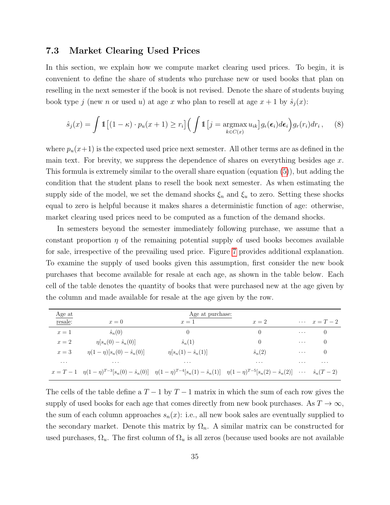#### <span id="page-35-0"></span>7.3 Market Clearing Used Prices

In this section, we explain how we compute market clearing used prices. To begin, it is convenient to define the share of students who purchase new or used books that plan on reselling in the next semester if the book is not revised. Denote the share of students buying book type j (new n or used u) at age x who plan to resell at age  $x + 1$  by  $\hat{s}_j(x)$ :

$$
\hat{s}_j(x) = \int \mathbb{1} \left[ (1 - \kappa) \cdot p_u(x + 1) \ge r_i \right] \left( \int \mathbb{1} \left[ j = \underset{k \in C(x)}{\operatorname{argmax}} u_{ik} \right] g_{\epsilon}(\epsilon_i) d\epsilon_i \right) g_r(r_i) dr_i , \quad (8)
$$

where  $p_u(x+1)$  is the expected used price next semester. All other terms are as defined in the main text. For brevity, we suppress the dependence of shares on everything besides age  $x$ . This formula is extremely similar to the overall share equation (equation [\(5\)](#page-12-3)), but adding the condition that the student plans to resell the book next semester. As when estimating the supply side of the model, we set the demand shocks  $\xi_n$  and  $\xi_u$  to zero. Setting these shocks equal to zero is helpful because it makes shares a deterministic function of age: otherwise, market clearing used prices need to be computed as a function of the demand shocks.

In semesters beyond the semester immediately following purchase, we assume that a constant proportion  $\eta$  of the remaining potential supply of used books becomes available for sale, irrespective of the prevailing used price. Figure [7](#page-36-0) provides additional explanation. To examine the supply of used books given this assumption, first consider the new book purchases that become available for resale at each age, as shown in the table below. Each cell of the table denotes the quantity of books that were purchased new at the age given by the column and made available for resale at the age given by the row.

| Age at   |                                     | Age at purchase:                                                                                                                                                                      |                |            |                      |
|----------|-------------------------------------|---------------------------------------------------------------------------------------------------------------------------------------------------------------------------------------|----------------|------------|----------------------|
| resale:  | $x=0$                               | $x=1$                                                                                                                                                                                 | $x=2$          |            | $\cdots$ $x = T - 2$ |
| $x=1$    | $\hat{s}_n(0)$                      |                                                                                                                                                                                       | 0              | $\ldots$ . | $\left( \right)$     |
| $x=2$    | $\eta[s_n(0) - \hat{s}_n(0)]$       | $\hat{s}_n(1)$                                                                                                                                                                        | 0              | $\cdots$   | $\left( \right)$     |
| $x=3$    | $\eta(1-\eta)[s_n(0)-\hat{s}_n(0)]$ | $\eta[s_n(1) - \hat{s}_n(1)]$                                                                                                                                                         | $\hat{s}_n(2)$ | $\cdots$   | $\left( \right)$     |
| $\cdots$ | $\cdot$ $\cdot$ $\cdot$             | $\cdots$                                                                                                                                                                              | $\cdots$       | $\cdots$   | $\cdots$             |
|          |                                     | $x = T - 1$ $\eta (1 - \eta)^{T-3} [s_n(0) - \hat{s}_n(0)]$ $\eta (1 - \eta)^{T-4} [s_n(1) - \hat{s}_n(1)]$ $\eta (1 - \eta)^{T-5} [s_n(2) - \hat{s}_n(2)]$ $\cdots$ $\hat{s}_n(T-2)$ |                |            |                      |

The cells of the table define a  $T-1$  by  $T-1$  matrix in which the sum of each row gives the supply of used books for each age that comes directly from new book purchases. As  $T \to \infty$ , the sum of each column approaches  $s_n(x)$ : i.e., all new book sales are eventually supplied to the secondary market. Denote this matrix by  $\Omega_n$ . A similar matrix can be constructed for used purchases,  $\Omega_u$ . The first column of  $\Omega_u$  is all zeros (because used books are not available